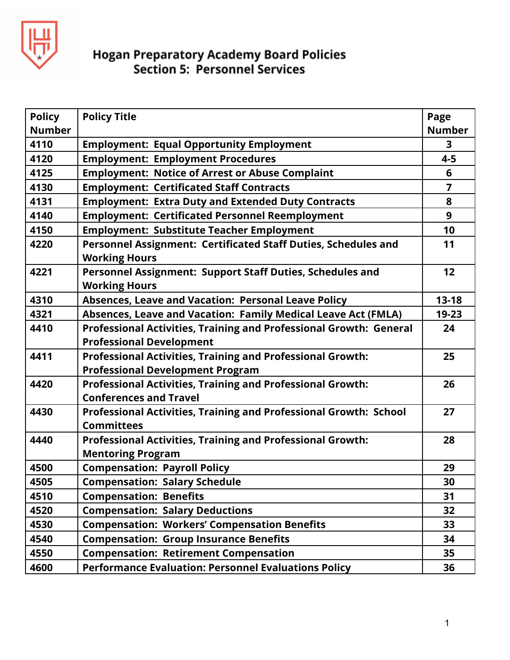

| <b>Policy</b> | <b>Policy Title</b>                                                                    | Page           |
|---------------|----------------------------------------------------------------------------------------|----------------|
| <b>Number</b> |                                                                                        | <b>Number</b>  |
| 4110          | <b>Employment: Equal Opportunity Employment</b>                                        | $\mathbf{3}$   |
| 4120          | <b>Employment: Employment Procedures</b>                                               | $4 - 5$        |
| 4125          | <b>Employment: Notice of Arrest or Abuse Complaint</b>                                 | 6              |
| 4130          | <b>Employment: Certificated Staff Contracts</b>                                        | $\overline{7}$ |
| 4131          | <b>Employment: Extra Duty and Extended Duty Contracts</b>                              | 8              |
| 4140          | <b>Employment: Certificated Personnel Reemployment</b>                                 | 9              |
| 4150          | <b>Employment: Substitute Teacher Employment</b>                                       | 10             |
| 4220          | Personnel Assignment: Certificated Staff Duties, Schedules and<br><b>Working Hours</b> | 11             |
| 4221          | Personnel Assignment: Support Staff Duties, Schedules and<br><b>Working Hours</b>      | 12             |
| 4310          | <b>Absences, Leave and Vacation: Personal Leave Policy</b>                             | $13 - 18$      |
| 4321          | Absences, Leave and Vacation: Family Medical Leave Act (FMLA)                          | 19-23          |
| 4410          | Professional Activities, Training and Professional Growth: General                     | 24             |
|               | <b>Professional Development</b>                                                        |                |
| 4411          | <b>Professional Activities, Training and Professional Growth:</b>                      | 25             |
|               | <b>Professional Development Program</b>                                                |                |
| 4420          | <b>Professional Activities, Training and Professional Growth:</b>                      | 26             |
|               | <b>Conferences and Travel</b>                                                          |                |
| 4430          | Professional Activities, Training and Professional Growth: School                      | 27             |
|               | <b>Committees</b>                                                                      |                |
| 4440          | <b>Professional Activities, Training and Professional Growth:</b>                      | 28             |
|               | <b>Mentoring Program</b>                                                               |                |
| 4500          | <b>Compensation: Payroll Policy</b>                                                    | 29             |
| 4505          | <b>Compensation: Salary Schedule</b>                                                   | 30             |
| 4510          | <b>Compensation: Benefits</b>                                                          | 31             |
| 4520          | <b>Compensation: Salary Deductions</b>                                                 | 32             |
| 4530          | <b>Compensation: Workers' Compensation Benefits</b>                                    | 33             |
| 4540          | <b>Compensation: Group Insurance Benefits</b>                                          | 34             |
| 4550          | <b>Compensation: Retirement Compensation</b>                                           | 35             |
| 4600          | <b>Performance Evaluation: Personnel Evaluations Policy</b>                            | 36             |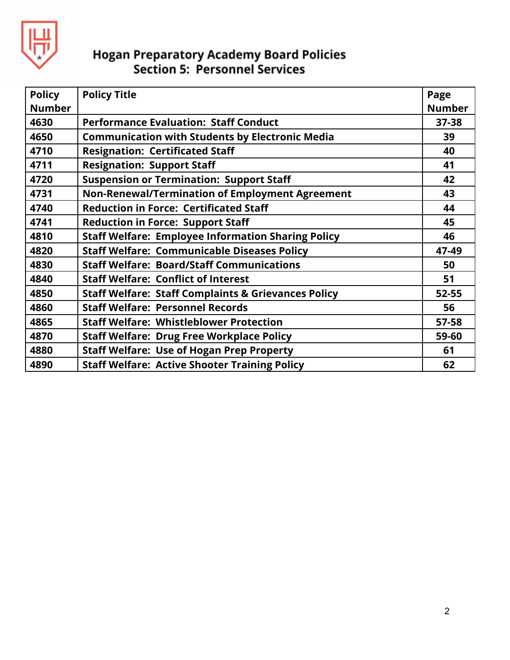

| <b>Policy</b><br><b>Number</b> | <b>Policy Title</b>                                            | Page<br><b>Number</b> |
|--------------------------------|----------------------------------------------------------------|-----------------------|
| 4630                           | <b>Performance Evaluation: Staff Conduct</b>                   | $37 - 38$             |
| 4650                           | <b>Communication with Students by Electronic Media</b>         | 39                    |
| 4710                           | <b>Resignation: Certificated Staff</b>                         | 40                    |
| 4711                           | <b>Resignation: Support Staff</b>                              | 41                    |
| 4720                           | <b>Suspension or Termination: Support Staff</b>                | 42                    |
| 4731                           | Non-Renewal/Termination of Employment Agreement                | 43                    |
| 4740                           | <b>Reduction in Force: Certificated Staff</b>                  | 44                    |
| 4741                           | <b>Reduction in Force: Support Staff</b>                       | 45                    |
| 4810                           | <b>Staff Welfare: Employee Information Sharing Policy</b>      | 46                    |
| 4820                           | <b>Staff Welfare: Communicable Diseases Policy</b>             | 47-49                 |
| 4830                           | <b>Staff Welfare: Board/Staff Communications</b>               | 50                    |
| 4840                           | <b>Staff Welfare: Conflict of Interest</b>                     | 51                    |
| 4850                           | <b>Staff Welfare: Staff Complaints &amp; Grievances Policy</b> | 52-55                 |
| 4860                           | <b>Staff Welfare: Personnel Records</b>                        | 56                    |
| 4865                           | <b>Staff Welfare: Whistleblower Protection</b>                 | 57-58                 |
| 4870                           | <b>Staff Welfare: Drug Free Workplace Policy</b>               | 59-60                 |
| 4880                           | <b>Staff Welfare: Use of Hogan Prep Property</b>               | 61                    |
| 4890                           | <b>Staff Welfare: Active Shooter Training Policy</b>           | 62                    |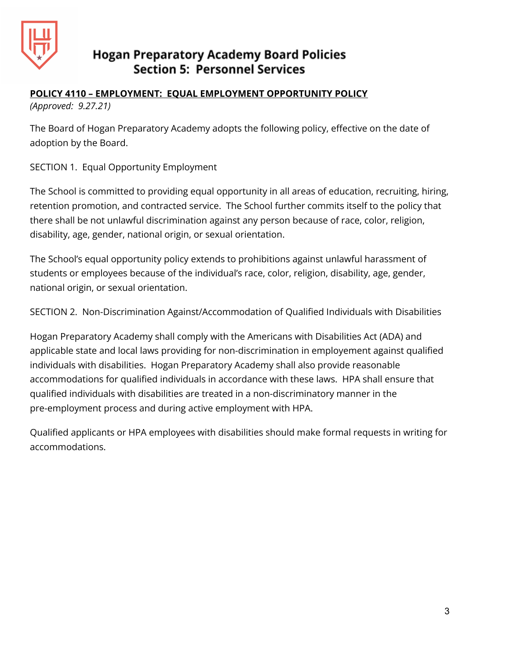

## **POLICY 4110 – EMPLOYMENT: EQUAL EMPLOYMENT OPPORTUNITY POLICY**

*(Approved: 9.27.21)*

The Board of Hogan Preparatory Academy adopts the following policy, effective on the date of adoption by the Board.

SECTION 1. Equal Opportunity Employment

The School is committed to providing equal opportunity in all areas of education, recruiting, hiring, retention promotion, and contracted service. The School further commits itself to the policy that there shall be not unlawful discrimination against any person because of race, color, religion, disability, age, gender, national origin, or sexual orientation.

The School's equal opportunity policy extends to prohibitions against unlawful harassment of students or employees because of the individual's race, color, religion, disability, age, gender, national origin, or sexual orientation.

SECTION 2. Non-Discrimination Against/Accommodation of Qualified Individuals with Disabilities

Hogan Preparatory Academy shall comply with the Americans with Disabilities Act (ADA) and applicable state and local laws providing for non-discrimination in employement against qualified individuals with disabilities. Hogan Preparatory Academy shall also provide reasonable accommodations for qualified individuals in accordance with these laws. HPA shall ensure that qualified individuals with disabilities are treated in a non-discriminatory manner in the pre-employment process and during active employment with HPA.

Qualified applicants or HPA employees with disabilities should make formal requests in writing for accommodations.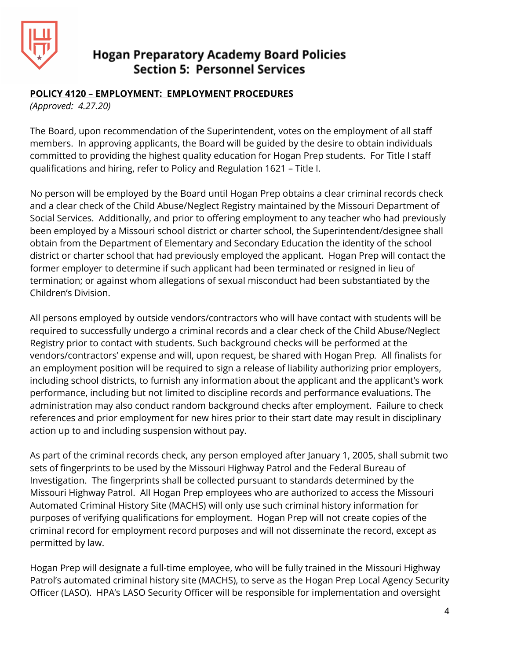

#### **POLICY 4120 – EMPLOYMENT: EMPLOYMENT PROCEDURES**

*(Approved: 4.27.20)*

The Board, upon recommendation of the Superintendent, votes on the employment of all staff members. In approving applicants, the Board will be guided by the desire to obtain individuals committed to providing the highest quality education for Hogan Prep students. For Title I staff qualifications and hiring, refer to Policy and Regulation 1621 – Title I.

No person will be employed by the Board until Hogan Prep obtains a clear criminal records check and a clear check of the Child Abuse/Neglect Registry maintained by the Missouri Department of Social Services. Additionally, and prior to offering employment to any teacher who had previously been employed by a Missouri school district or charter school, the Superintendent/designee shall obtain from the Department of Elementary and Secondary Education the identity of the school district or charter school that had previously employed the applicant. Hogan Prep will contact the former employer to determine if such applicant had been terminated or resigned in lieu of termination; or against whom allegations of sexual misconduct had been substantiated by the Children's Division.

All persons employed by outside vendors/contractors who will have contact with students will be required to successfully undergo a criminal records and a clear check of the Child Abuse/Neglect Registry prior to contact with students. Such background checks will be performed at the vendors/contractors' expense and will, upon request, be shared with Hogan Prep*.* All finalists for an employment position will be required to sign a release of liability authorizing prior employers, including school districts, to furnish any information about the applicant and the applicant's work performance, including but not limited to discipline records and performance evaluations. The administration may also conduct random background checks after employment. Failure to check references and prior employment for new hires prior to their start date may result in disciplinary action up to and including suspension without pay.

As part of the criminal records check, any person employed after January 1, 2005, shall submit two sets of fingerprints to be used by the Missouri Highway Patrol and the Federal Bureau of Investigation. The fingerprints shall be collected pursuant to standards determined by the Missouri Highway Patrol. All Hogan Prep employees who are authorized to access the Missouri Automated Criminal History Site (MACHS) will only use such criminal history information for purposes of verifying qualifications for employment. Hogan Prep will not create copies of the criminal record for employment record purposes and will not disseminate the record, except as permitted by law.

Hogan Prep will designate a full-time employee, who will be fully trained in the Missouri Highway Patrol's automated criminal history site (MACHS), to serve as the Hogan Prep Local Agency Security Officer (LASO). HPA's LASO Security Officer will be responsible for implementation and oversight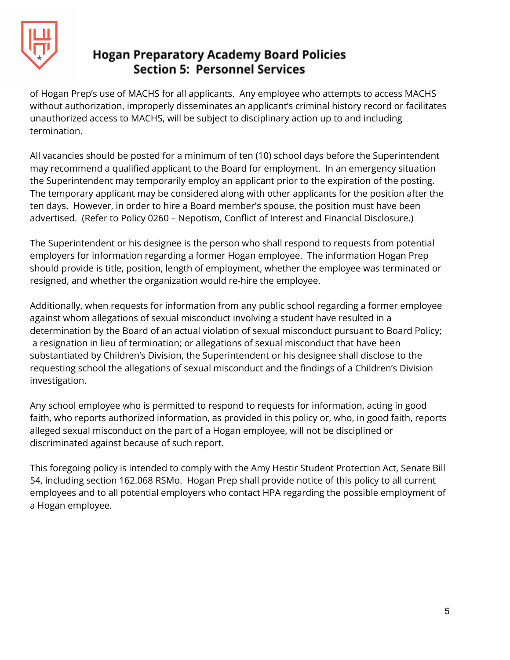

of Hogan Prep's use of MACHS for all applicants. Any employee who attempts to access MACHS without authorization, improperly disseminates an applicant's criminal history record or facilitates unauthorized access to MACHS, will be subject to disciplinary action up to and including termination.

All vacancies should be posted for a minimum of ten (10) school days before the Superintendent may recommend a qualified applicant to the Board for employment. In an emergency situation the Superintendent may temporarily employ an applicant prior to the expiration of the posting. The temporary applicant may be considered along with other applicants for the position after the ten days. However, in order to hire a Board member's spouse, the position must have been advertised. (Refer to Policy 0260 – Nepotism, Conflict of Interest and Financial Disclosure.)

The Superintendent or his designee is the person who shall respond to requests from potential employers for information regarding a former Hogan employee. The information Hogan Prep should provide is title, position, length of employment, whether the employee was terminated or resigned, and whether the organization would re-hire the employee.

Additionally, when requests for information from any public school regarding a former employee against whom allegations of sexual misconduct involving a student have resulted in a determination by the Board of an actual violation of sexual misconduct pursuant to Board Policy; a resignation in lieu of termination; or allegations of sexual misconduct that have been substantiated by Children's Division, the Superintendent or his designee shall disclose to the requesting school the allegations of sexual misconduct and the findings of a Children's Division investigation.

Any school employee who is permitted to respond to requests for information, acting in good faith, who reports authorized information, as provided in this policy or, who, in good faith, reports alleged sexual misconduct on the part of a Hogan employee, will not be disciplined or discriminated against because of such report.

This foregoing policy is intended to comply with the Amy Hestir Student Protection Act, Senate Bill 54, including section 162.068 RSMo. Hogan Prep shall provide notice of this policy to all current employees and to all potential employers who contact HPA regarding the possible employment of a Hogan employee.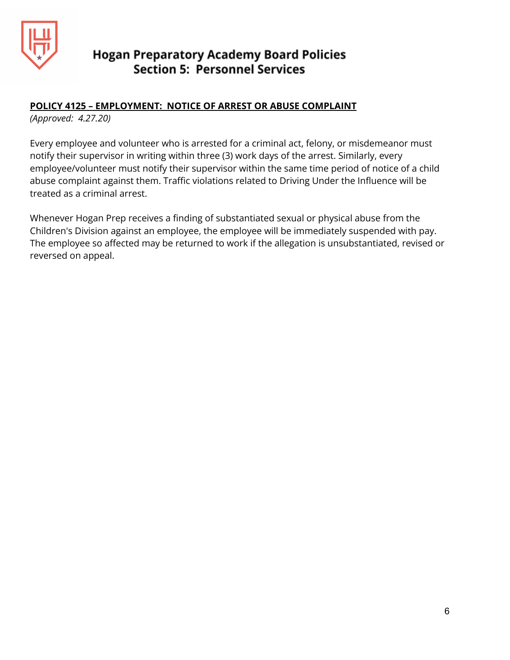

#### **POLICY 4125 – EMPLOYMENT: NOTICE OF ARREST OR ABUSE COMPLAINT**

*(Approved: 4.27.20)*

Every employee and volunteer who is arrested for a criminal act, felony, or misdemeanor must notify their supervisor in writing within three (3) work days of the arrest. Similarly, every employee/volunteer must notify their supervisor within the same time period of notice of a child abuse complaint against them. Traffic violations related to Driving Under the Influence will be treated as a criminal arrest.

Whenever Hogan Prep receives a finding of substantiated sexual or physical abuse from the Children's Division against an employee, the employee will be immediately suspended with pay. The employee so affected may be returned to work if the allegation is unsubstantiated, revised or reversed on appeal.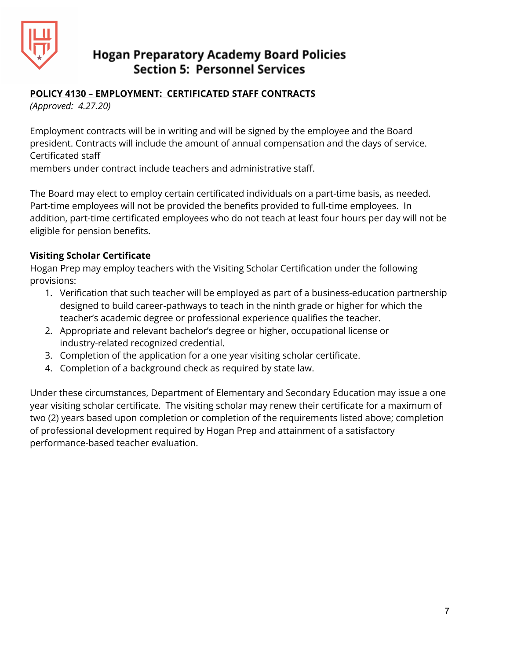

#### **POLICY 4130 – EMPLOYMENT: CERTIFICATED STAFF CONTRACTS**

*(Approved: 4.27.20)*

Employment contracts will be in writing and will be signed by the employee and the Board president. Contracts will include the amount of annual compensation and the days of service. Certificated staff

members under contract include teachers and administrative staff.

The Board may elect to employ certain certificated individuals on a part-time basis, as needed. Part-time employees will not be provided the benefits provided to full-time employees. In addition, part-time certificated employees who do not teach at least four hours per day will not be eligible for pension benefits.

#### **Visiting Scholar Certificate**

Hogan Prep may employ teachers with the Visiting Scholar Certification under the following provisions:

- 1. Verification that such teacher will be employed as part of a business-education partnership designed to build career-pathways to teach in the ninth grade or higher for which the teacher's academic degree or professional experience qualifies the teacher.
- 2. Appropriate and relevant bachelor's degree or higher, occupational license or industry-related recognized credential.
- 3. Completion of the application for a one year visiting scholar certificate.
- 4. Completion of a background check as required by state law.

Under these circumstances, Department of Elementary and Secondary Education may issue a one year visiting scholar certificate. The visiting scholar may renew their certificate for a maximum of two (2) years based upon completion or completion of the requirements listed above; completion of professional development required by Hogan Prep and attainment of a satisfactory performance-based teacher evaluation.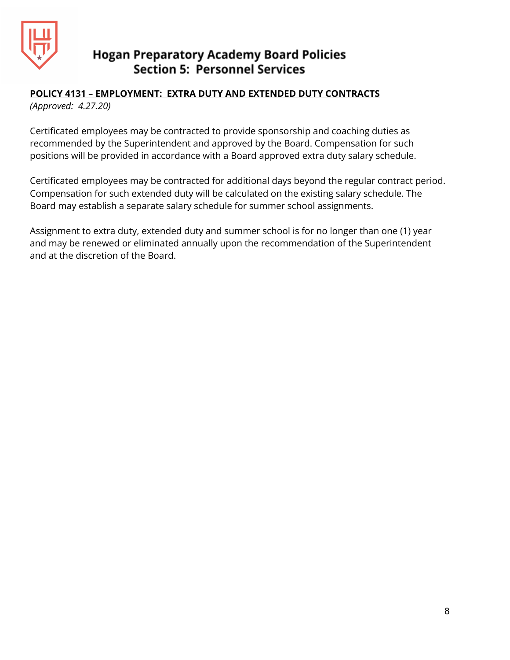

# **POLICY 4131 – EMPLOYMENT: EXTRA DUTY AND EXTENDED DUTY CONTRACTS**

*(Approved: 4.27.20)*

Certificated employees may be contracted to provide sponsorship and coaching duties as recommended by the Superintendent and approved by the Board. Compensation for such positions will be provided in accordance with a Board approved extra duty salary schedule.

Certificated employees may be contracted for additional days beyond the regular contract period. Compensation for such extended duty will be calculated on the existing salary schedule. The Board may establish a separate salary schedule for summer school assignments.

Assignment to extra duty, extended duty and summer school is for no longer than one (1) year and may be renewed or eliminated annually upon the recommendation of the Superintendent and at the discretion of the Board.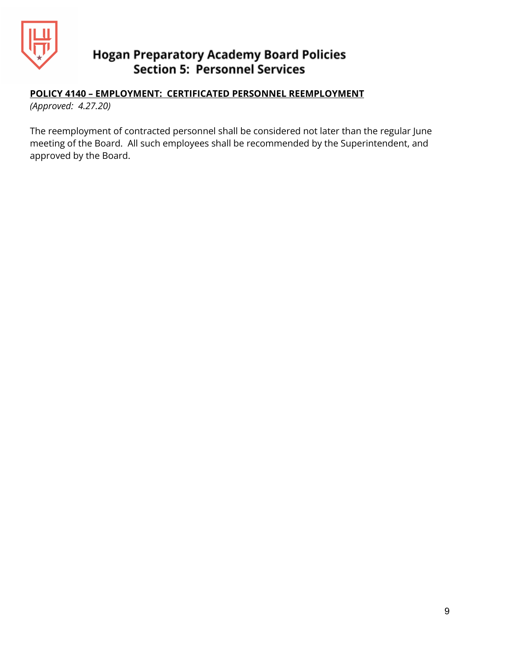

## **POLICY 4140 – EMPLOYMENT: CERTIFICATED PERSONNEL REEMPLOYMENT**

*(Approved: 4.27.20)*

The reemployment of contracted personnel shall be considered not later than the regular June meeting of the Board. All such employees shall be recommended by the Superintendent, and approved by the Board.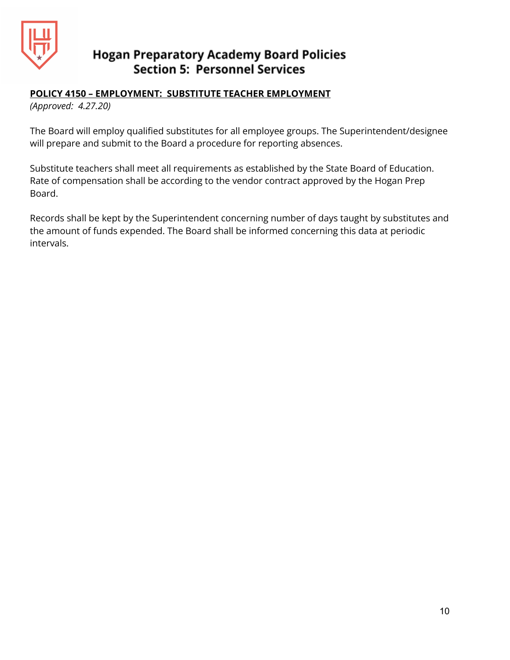

#### **POLICY 4150 – EMPLOYMENT: SUBSTITUTE TEACHER EMPLOYMENT**

*(Approved: 4.27.20)*

The Board will employ qualified substitutes for all employee groups. The Superintendent/designee will prepare and submit to the Board a procedure for reporting absences.

Substitute teachers shall meet all requirements as established by the State Board of Education. Rate of compensation shall be according to the vendor contract approved by the Hogan Prep Board.

Records shall be kept by the Superintendent concerning number of days taught by substitutes and the amount of funds expended. The Board shall be informed concerning this data at periodic intervals.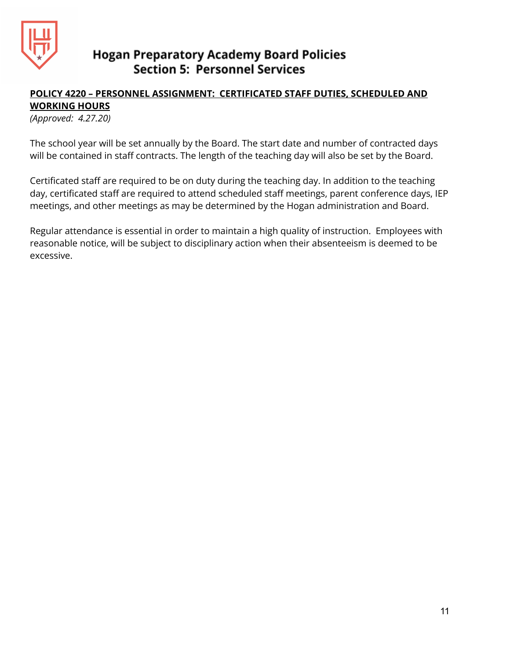

## **POLICY 4220 – PERSONNEL ASSIGNMENT: CERTIFICATED STAFF DUTIES, SCHEDULED AND WORKING HOURS**

*(Approved: 4.27.20)*

The school year will be set annually by the Board. The start date and number of contracted days will be contained in staff contracts. The length of the teaching day will also be set by the Board.

Certificated staff are required to be on duty during the teaching day. In addition to the teaching day, certificated staff are required to attend scheduled staff meetings, parent conference days, IEP meetings, and other meetings as may be determined by the Hogan administration and Board.

Regular attendance is essential in order to maintain a high quality of instruction. Employees with reasonable notice, will be subject to disciplinary action when their absenteeism is deemed to be excessive.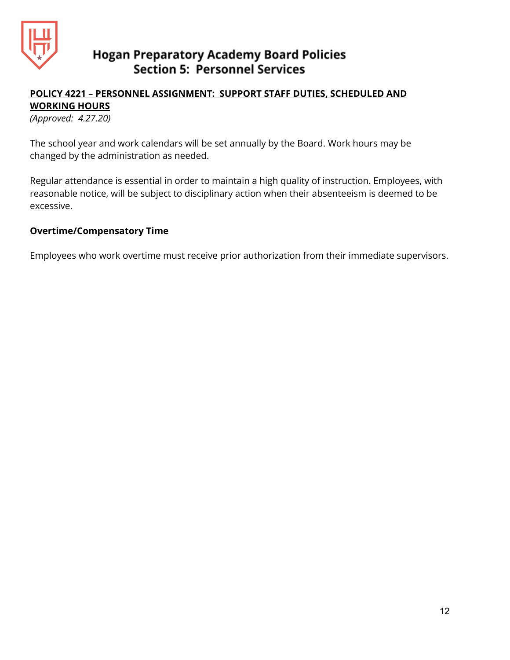

## **POLICY 4221 – PERSONNEL ASSIGNMENT: SUPPORT STAFF DUTIES, SCHEDULED AND WORKING HOURS**

*(Approved: 4.27.20)*

The school year and work calendars will be set annually by the Board. Work hours may be changed by the administration as needed.

Regular attendance is essential in order to maintain a high quality of instruction. Employees, with reasonable notice, will be subject to disciplinary action when their absenteeism is deemed to be excessive.

#### **Overtime/Compensatory Time**

Employees who work overtime must receive prior authorization from their immediate supervisors.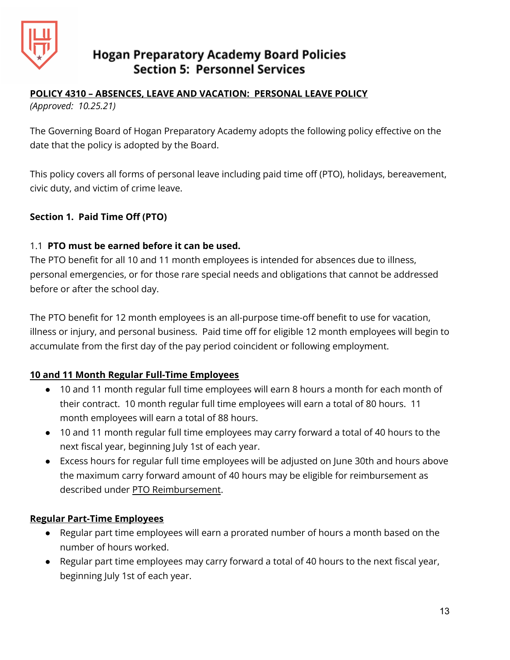

# **POLICY 4310 – ABSENCES, LEAVE AND VACATION: PERSONAL LEAVE POLICY**

*(Approved: 10.25.21)*

The Governing Board of Hogan Preparatory Academy adopts the following policy effective on the date that the policy is adopted by the Board.

This policy covers all forms of personal leave including paid time off (PTO), holidays, bereavement, civic duty, and victim of crime leave.

## **Section 1. Paid Time Off (PTO)**

## 1.1 **PTO must be earned before it can be used.**

The PTO benefit for all 10 and 11 month employees is intended for absences due to illness, personal emergencies, or for those rare special needs and obligations that cannot be addressed before or after the school day.

The PTO benefit for 12 month employees is an all-purpose time-off benefit to use for vacation, illness or injury, and personal business. Paid time off for eligible 12 month employees will begin to accumulate from the first day of the pay period coincident or following employment.

## **10 and 11 Month Regular Full-Time Employees**

- 10 and 11 month regular full time employees will earn 8 hours a month for each month of their contract. 10 month regular full time employees will earn a total of 80 hours. 11 month employees will earn a total of 88 hours.
- 10 and 11 month regular full time employees may carry forward a total of 40 hours to the next fiscal year, beginning July 1st of each year.
- Excess hours for regular full time employees will be adjusted on June 30th and hours above the maximum carry forward amount of 40 hours may be eligible for reimbursement as described under PTO Reimbursement.

## **Regular Part-Time Employees**

- Regular part time employees will earn a prorated number of hours a month based on the number of hours worked.
- Regular part time employees may carry forward a total of 40 hours to the next fiscal year, beginning July 1st of each year.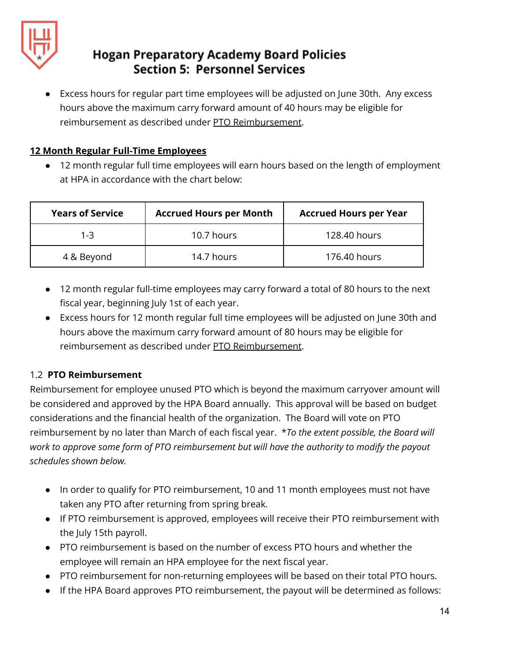

Excess hours for regular part time employees will be adjusted on June 30th. Any excess hours above the maximum carry forward amount of 40 hours may be eligible for reimbursement as described under PTO Reimbursement.

## **12 Month Regular Full-Time Employees**

● 12 month regular full time employees will earn hours based on the length of employment at HPA in accordance with the chart below:

| <b>Years of Service</b> | <b>Accrued Hours per Month</b> | <b>Accrued Hours per Year</b> |
|-------------------------|--------------------------------|-------------------------------|
| 1-3                     | 10.7 hours                     | 128.40 hours                  |
| 4 & Beyond              | 14.7 hours                     | 176.40 hours                  |

- 12 month regular full-time employees may carry forward a total of 80 hours to the next fiscal year, beginning July 1st of each year.
- Excess hours for 12 month regular full time employees will be adjusted on June 30th and hours above the maximum carry forward amount of 80 hours may be eligible for reimbursement as described under PTO Reimbursement.

## 1.2 **PTO Reimbursement**

Reimbursement for employee unused PTO which is beyond the maximum carryover amount will be considered and approved by the HPA Board annually. This approval will be based on budget considerations and the financial health of the organization. The Board will vote on PTO reimbursement by no later than March of each fiscal year. \**To the extent possible, the Board will work to approve some form of PTO reimbursement but will have the authority to modify the payout schedules shown below.*

- In order to qualify for PTO reimbursement, 10 and 11 month employees must not have taken any PTO after returning from spring break.
- If PTO reimbursement is approved, employees will receive their PTO reimbursement with the July 15th payroll.
- PTO reimbursement is based on the number of excess PTO hours and whether the employee will remain an HPA employee for the next fiscal year.
- PTO reimbursement for non-returning employees will be based on their total PTO hours.
- If the HPA Board approves PTO reimbursement, the payout will be determined as follows: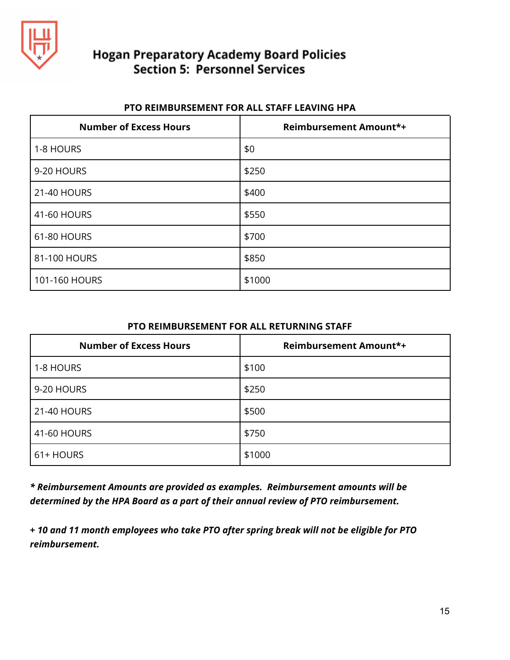

#### **PTO REIMBURSEMENT FOR ALL STAFF LEAVING HPA**

| <b>Number of Excess Hours</b> | <b>Reimbursement Amount*+</b> |
|-------------------------------|-------------------------------|
| 1-8 HOURS                     | \$0                           |
| 9-20 HOURS                    | \$250                         |
| 21-40 HOURS                   | \$400                         |
| 41-60 HOURS                   | \$550                         |
| 61-80 HOURS                   | \$700                         |
| 81-100 HOURS                  | \$850                         |
| 101-160 HOURS                 | \$1000                        |

#### **PTO REIMBURSEMENT FOR ALL RETURNING STAFF**

| <b>Number of Excess Hours</b> | <b>Reimbursement Amount*+</b> |
|-------------------------------|-------------------------------|
| 1-8 HOURS                     | \$100                         |
| 9-20 HOURS                    | \$250                         |
| 21-40 HOURS                   | \$500                         |
| 41-60 HOURS                   | \$750                         |
| 61+ HOURS                     | \$1000                        |

*\* Reimbursement Amounts are provided as examples. Reimbursement amounts will be determined by the HPA Board as a part of their annual review of PTO reimbursement.*

**+** *10 and 11 month employees who take PTO after spring break will not be eligible for PTO reimbursement.*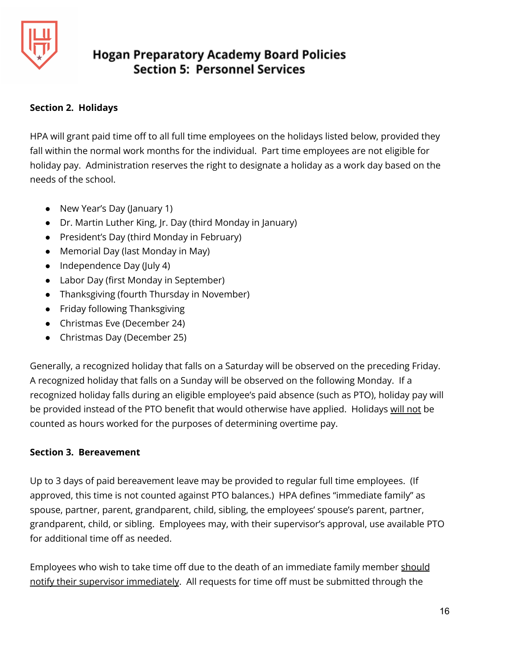

#### **Section 2. Holidays**

HPA will grant paid time off to all full time employees on the holidays listed below, provided they fall within the normal work months for the individual. Part time employees are not eligible for holiday pay. Administration reserves the right to designate a holiday as a work day based on the needs of the school.

- New Year's Day (January 1)
- Dr. Martin Luther King, Jr. Day (third Monday in January)
- President's Day (third Monday in February)
- Memorial Day (last Monday in May)
- Independence Day (July 4)
- Labor Day (first Monday in September)
- Thanksgiving (fourth Thursday in November)
- Friday following Thanksgiving
- Christmas Eve (December 24)
- Christmas Day (December 25)

Generally, a recognized holiday that falls on a Saturday will be observed on the preceding Friday. A recognized holiday that falls on a Sunday will be observed on the following Monday. If a recognized holiday falls during an eligible employee's paid absence (such as PTO), holiday pay will be provided instead of the PTO benefit that would otherwise have applied. Holidays will not be counted as hours worked for the purposes of determining overtime pay.

## **Section 3. Bereavement**

Up to 3 days of paid bereavement leave may be provided to regular full time employees. (If approved, this time is not counted against PTO balances.) HPA defines "immediate family" as spouse, partner, parent, grandparent, child, sibling, the employees' spouse's parent, partner, grandparent, child, or sibling. Employees may, with their supervisor's approval, use available PTO for additional time off as needed.

Employees who wish to take time off due to the death of an immediate family member should notify their supervisor immediately. All requests for time off must be submitted through the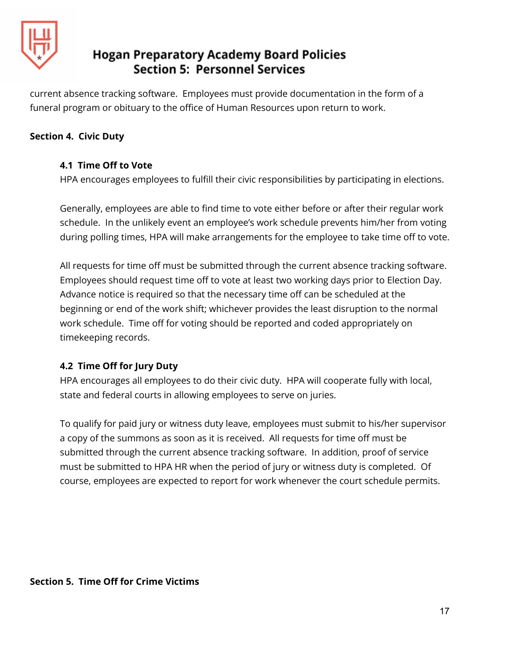

current absence tracking software. Employees must provide documentation in the form of a funeral program or obituary to the office of Human Resources upon return to work.

#### **Section 4. Civic Duty**

#### **4.1 Time Off to Vote**

HPA encourages employees to fulfill their civic responsibilities by participating in elections.

Generally, employees are able to find time to vote either before or after their regular work schedule. In the unlikely event an employee's work schedule prevents him/her from voting during polling times, HPA will make arrangements for the employee to take time off to vote.

All requests for time off must be submitted through the current absence tracking software. Employees should request time off to vote at least two working days prior to Election Day. Advance notice is required so that the necessary time off can be scheduled at the beginning or end of the work shift; whichever provides the least disruption to the normal work schedule. Time off for voting should be reported and coded appropriately on timekeeping records.

## **4.2 Time Off for Jury Duty**

HPA encourages all employees to do their civic duty. HPA will cooperate fully with local, state and federal courts in allowing employees to serve on juries.

To qualify for paid jury or witness duty leave, employees must submit to his/her supervisor a copy of the summons as soon as it is received. All requests for time off must be submitted through the current absence tracking software. In addition, proof of service must be submitted to HPA HR when the period of jury or witness duty is completed. Of course, employees are expected to report for work whenever the court schedule permits.

#### **Section 5. Time Off for Crime Victims**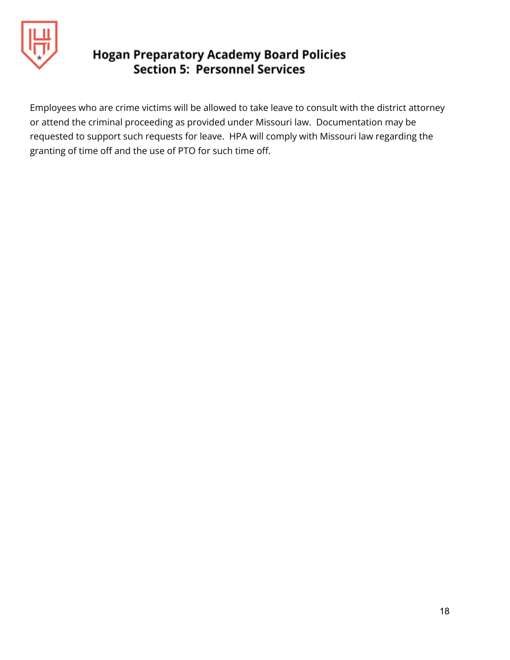

Employees who are crime victims will be allowed to take leave to consult with the district attorney or attend the criminal proceeding as provided under Missouri law. Documentation may be requested to support such requests for leave. HPA will comply with Missouri law regarding the granting of time off and the use of PTO for such time off.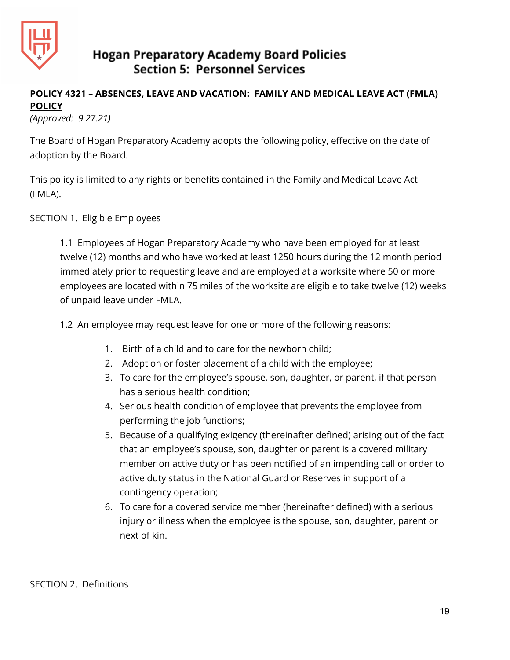

## **POLICY 4321 – ABSENCES, LEAVE AND VACATION: FAMILY AND MEDICAL LEAVE ACT (FMLA) POLICY**

*(Approved: 9.27.21)*

The Board of Hogan Preparatory Academy adopts the following policy, effective on the date of adoption by the Board.

This policy is limited to any rights or benefits contained in the Family and Medical Leave Act (FMLA).

SECTION 1. Eligible Employees

1.1 Employees of Hogan Preparatory Academy who have been employed for at least twelve (12) months and who have worked at least 1250 hours during the 12 month period immediately prior to requesting leave and are employed at a worksite where 50 or more employees are located within 75 miles of the worksite are eligible to take twelve (12) weeks of unpaid leave under FMLA.

1.2 An employee may request leave for one or more of the following reasons:

- 1. Birth of a child and to care for the newborn child;
- 2. Adoption or foster placement of a child with the employee;
- 3. To care for the employee's spouse, son, daughter, or parent, if that person has a serious health condition;
- 4. Serious health condition of employee that prevents the employee from performing the job functions;
- 5. Because of a qualifying exigency (thereinafter defined) arising out of the fact that an employee's spouse, son, daughter or parent is a covered military member on active duty or has been notified of an impending call or order to active duty status in the National Guard or Reserves in support of a contingency operation;
- 6. To care for a covered service member (hereinafter defined) with a serious injury or illness when the employee is the spouse, son, daughter, parent or next of kin.

SECTION 2. Definitions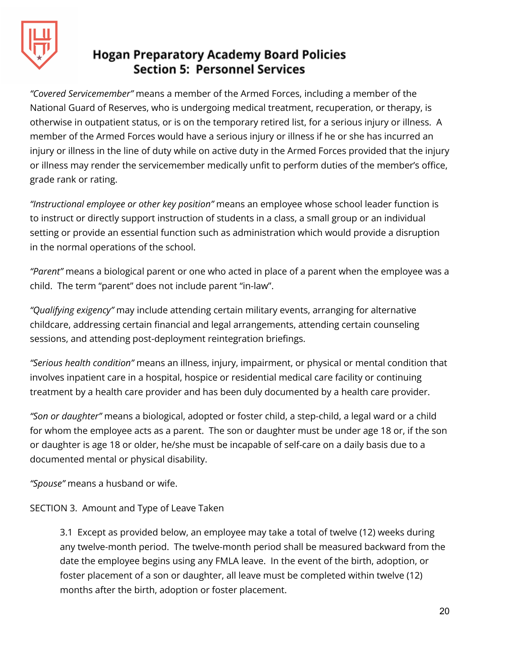

*"Covered Servicemember"* means a member of the Armed Forces, including a member of the National Guard of Reserves, who is undergoing medical treatment, recuperation, or therapy, is otherwise in outpatient status, or is on the temporary retired list, for a serious injury or illness. A member of the Armed Forces would have a serious injury or illness if he or she has incurred an injury or illness in the line of duty while on active duty in the Armed Forces provided that the injury or illness may render the servicemember medically unfit to perform duties of the member's office, grade rank or rating.

*"Instructional employee or other key position"* means an employee whose school leader function is to instruct or directly support instruction of students in a class, a small group or an individual setting or provide an essential function such as administration which would provide a disruption in the normal operations of the school.

*"Parent"* means a biological parent or one who acted in place of a parent when the employee was a child. The term "parent" does not include parent "in-law".

*"Qualifying exigency"* may include attending certain military events, arranging for alternative childcare, addressing certain financial and legal arrangements, attending certain counseling sessions, and attending post-deployment reintegration briefings.

*"Serious health condition"* means an illness, injury, impairment, or physical or mental condition that involves inpatient care in a hospital, hospice or residential medical care facility or continuing treatment by a health care provider and has been duly documented by a health care provider.

*"Son or daughter"* means a biological, adopted or foster child, a step-child, a legal ward or a child for whom the employee acts as a parent. The son or daughter must be under age 18 or, if the son or daughter is age 18 or older, he/she must be incapable of self-care on a daily basis due to a documented mental or physical disability.

*"Spouse"* means a husband or wife.

## SECTION 3. Amount and Type of Leave Taken

3.1 Except as provided below, an employee may take a total of twelve (12) weeks during any twelve-month period. The twelve-month period shall be measured backward from the date the employee begins using any FMLA leave. In the event of the birth, adoption, or foster placement of a son or daughter, all leave must be completed within twelve (12) months after the birth, adoption or foster placement.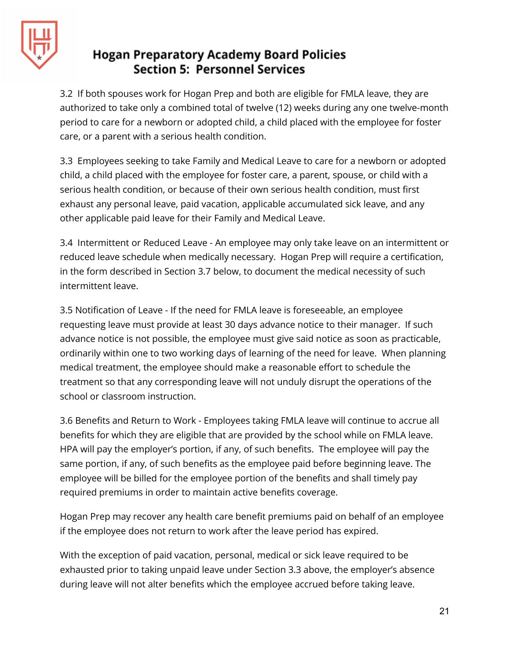

3.2 If both spouses work for Hogan Prep and both are eligible for FMLA leave, they are authorized to take only a combined total of twelve (12) weeks during any one twelve-month period to care for a newborn or adopted child, a child placed with the employee for foster care, or a parent with a serious health condition.

3.3 Employees seeking to take Family and Medical Leave to care for a newborn or adopted child, a child placed with the employee for foster care, a parent, spouse, or child with a serious health condition, or because of their own serious health condition, must first exhaust any personal leave, paid vacation, applicable accumulated sick leave, and any other applicable paid leave for their Family and Medical Leave.

3.4 Intermittent or Reduced Leave - An employee may only take leave on an intermittent or reduced leave schedule when medically necessary. Hogan Prep will require a certification, in the form described in Section 3.7 below, to document the medical necessity of such intermittent leave.

3.5 Notification of Leave - If the need for FMLA leave is foreseeable, an employee requesting leave must provide at least 30 days advance notice to their manager. If such advance notice is not possible, the employee must give said notice as soon as practicable, ordinarily within one to two working days of learning of the need for leave. When planning medical treatment, the employee should make a reasonable effort to schedule the treatment so that any corresponding leave will not unduly disrupt the operations of the school or classroom instruction.

3.6 Benefits and Return to Work - Employees taking FMLA leave will continue to accrue all benefits for which they are eligible that are provided by the school while on FMLA leave. HPA will pay the employer's portion, if any, of such benefits. The employee will pay the same portion, if any, of such benefits as the employee paid before beginning leave. The employee will be billed for the employee portion of the benefits and shall timely pay required premiums in order to maintain active benefits coverage.

Hogan Prep may recover any health care benefit premiums paid on behalf of an employee if the employee does not return to work after the leave period has expired.

With the exception of paid vacation, personal, medical or sick leave required to be exhausted prior to taking unpaid leave under Section 3.3 above, the employer's absence during leave will not alter benefits which the employee accrued before taking leave.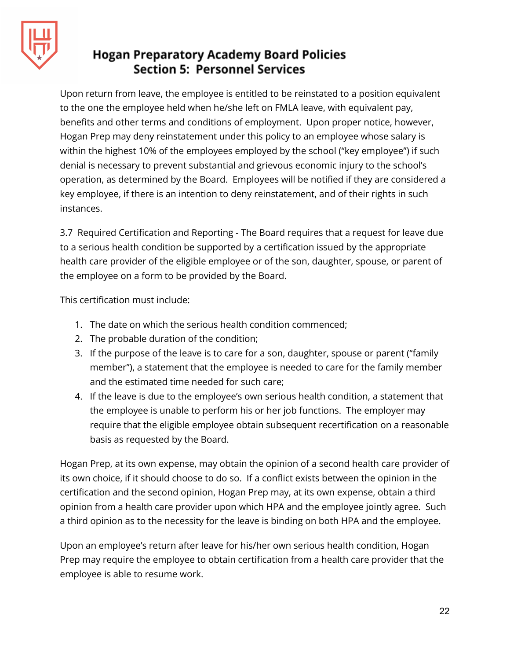

Upon return from leave, the employee is entitled to be reinstated to a position equivalent to the one the employee held when he/she left on FMLA leave, with equivalent pay, benefits and other terms and conditions of employment. Upon proper notice, however, Hogan Prep may deny reinstatement under this policy to an employee whose salary is within the highest 10% of the employees employed by the school ("key employee") if such denial is necessary to prevent substantial and grievous economic injury to the school's operation, as determined by the Board. Employees will be notified if they are considered a key employee, if there is an intention to deny reinstatement, and of their rights in such instances.

3.7 Required Certification and Reporting - The Board requires that a request for leave due to a serious health condition be supported by a certification issued by the appropriate health care provider of the eligible employee or of the son, daughter, spouse, or parent of the employee on a form to be provided by the Board.

This certification must include:

- 1. The date on which the serious health condition commenced;
- 2. The probable duration of the condition;
- 3. If the purpose of the leave is to care for a son, daughter, spouse or parent ("family member"), a statement that the employee is needed to care for the family member and the estimated time needed for such care;
- 4. If the leave is due to the employee's own serious health condition, a statement that the employee is unable to perform his or her job functions. The employer may require that the eligible employee obtain subsequent recertification on a reasonable basis as requested by the Board.

Hogan Prep, at its own expense, may obtain the opinion of a second health care provider of its own choice, if it should choose to do so. If a conflict exists between the opinion in the certification and the second opinion, Hogan Prep may, at its own expense, obtain a third opinion from a health care provider upon which HPA and the employee jointly agree. Such a third opinion as to the necessity for the leave is binding on both HPA and the employee.

Upon an employee's return after leave for his/her own serious health condition, Hogan Prep may require the employee to obtain certification from a health care provider that the employee is able to resume work.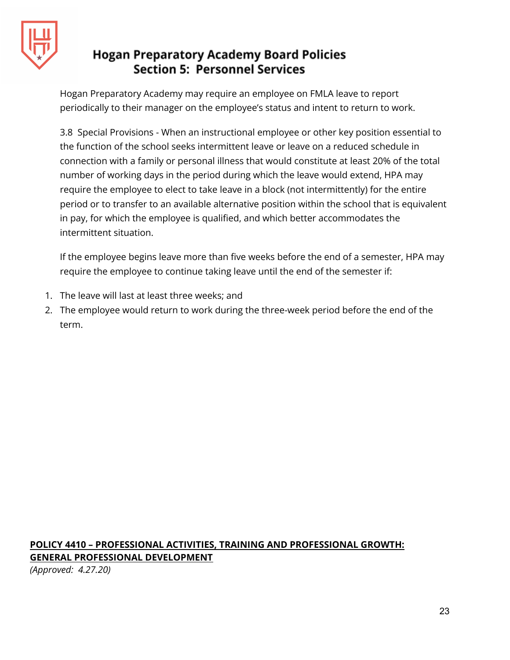

Hogan Preparatory Academy may require an employee on FMLA leave to report periodically to their manager on the employee's status and intent to return to work.

3.8 Special Provisions - When an instructional employee or other key position essential to the function of the school seeks intermittent leave or leave on a reduced schedule in connection with a family or personal illness that would constitute at least 20% of the total number of working days in the period during which the leave would extend, HPA may require the employee to elect to take leave in a block (not intermittently) for the entire period or to transfer to an available alternative position within the school that is equivalent in pay, for which the employee is qualified, and which better accommodates the intermittent situation.

If the employee begins leave more than five weeks before the end of a semester, HPA may require the employee to continue taking leave until the end of the semester if:

- 1. The leave will last at least three weeks; and
- 2. The employee would return to work during the three-week period before the end of the term.

## **POLICY 4410 – PROFESSIONAL ACTIVITIES, TRAINING AND PROFESSIONAL GROWTH: GENERAL PROFESSIONAL DEVELOPMENT**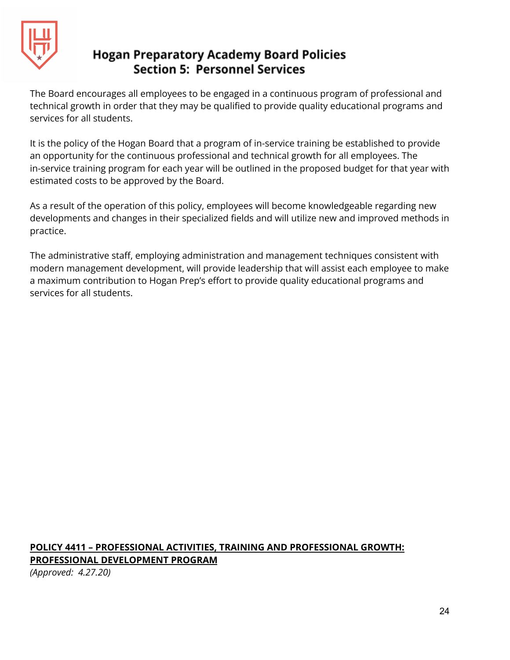

The Board encourages all employees to be engaged in a continuous program of professional and technical growth in order that they may be qualified to provide quality educational programs and services for all students.

It is the policy of the Hogan Board that a program of in-service training be established to provide an opportunity for the continuous professional and technical growth for all employees. The in-service training program for each year will be outlined in the proposed budget for that year with estimated costs to be approved by the Board.

As a result of the operation of this policy, employees will become knowledgeable regarding new developments and changes in their specialized fields and will utilize new and improved methods in practice.

The administrative staff, employing administration and management techniques consistent with modern management development, will provide leadership that will assist each employee to make a maximum contribution to Hogan Prep's effort to provide quality educational programs and services for all students.

## **POLICY 4411 – PROFESSIONAL ACTIVITIES, TRAINING AND PROFESSIONAL GROWTH: PROFESSIONAL DEVELOPMENT PROGRAM**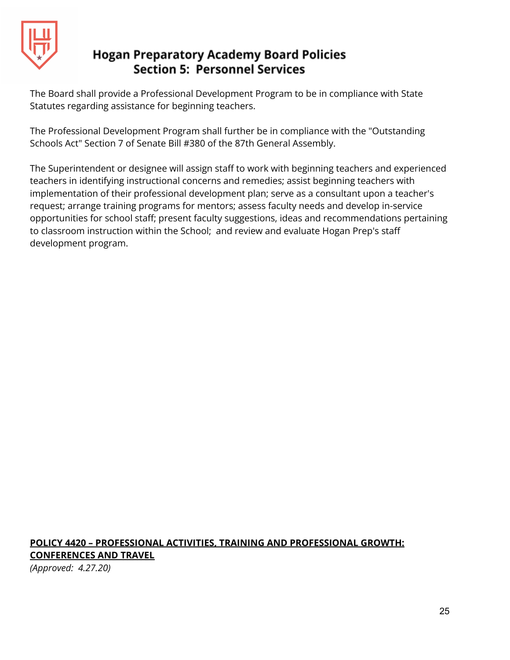

The Board shall provide a Professional Development Program to be in compliance with State Statutes regarding assistance for beginning teachers.

The Professional Development Program shall further be in compliance with the "Outstanding Schools Act" Section 7 of Senate Bill #380 of the 87th General Assembly.

The Superintendent or designee will assign staff to work with beginning teachers and experienced teachers in identifying instructional concerns and remedies; assist beginning teachers with implementation of their professional development plan; serve as a consultant upon a teacher's request; arrange training programs for mentors; assess faculty needs and develop in-service opportunities for school staff; present faculty suggestions, ideas and recommendations pertaining to classroom instruction within the School; and review and evaluate Hogan Prep's staff development program.

## **POLICY 4420 – PROFESSIONAL ACTIVITIES, TRAINING AND PROFESSIONAL GROWTH: CONFERENCES AND TRAVEL**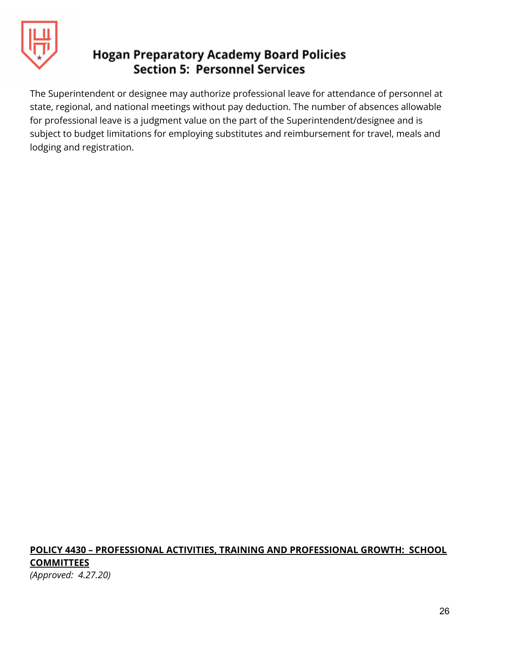

The Superintendent or designee may authorize professional leave for attendance of personnel at state, regional, and national meetings without pay deduction. The number of absences allowable for professional leave is a judgment value on the part of the Superintendent/designee and is subject to budget limitations for employing substitutes and reimbursement for travel, meals and lodging and registration.

#### **POLICY 4430 – PROFESSIONAL ACTIVITIES, TRAINING AND PROFESSIONAL GROWTH: SCHOOL COMMITTEES** *(Approved: 4.27.20)*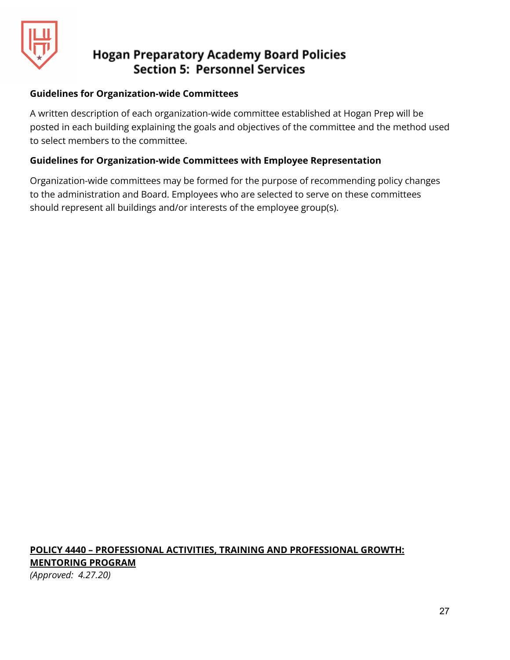

#### **Guidelines for Organization-wide Committees**

A written description of each organization-wide committee established at Hogan Prep will be posted in each building explaining the goals and objectives of the committee and the method used to select members to the committee.

#### **Guidelines for Organization-wide Committees with Employee Representation**

Organization-wide committees may be formed for the purpose of recommending policy changes to the administration and Board. Employees who are selected to serve on these committees should represent all buildings and/or interests of the employee group(s).

#### **POLICY 4440 – PROFESSIONAL ACTIVITIES, TRAINING AND PROFESSIONAL GROWTH: MENTORING PROGRAM** *(Approved: 4.27.20)*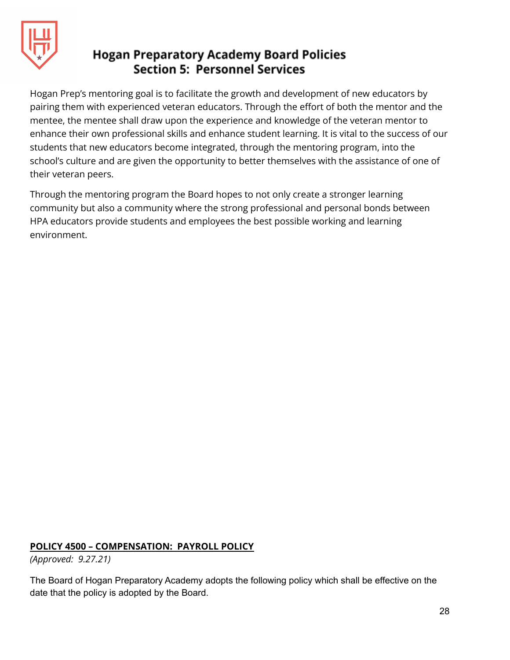

Hogan Prep's mentoring goal is to facilitate the growth and development of new educators by pairing them with experienced veteran educators. Through the effort of both the mentor and the mentee, the mentee shall draw upon the experience and knowledge of the veteran mentor to enhance their own professional skills and enhance student learning. It is vital to the success of our students that new educators become integrated, through the mentoring program, into the school's culture and are given the opportunity to better themselves with the assistance of one of their veteran peers.

Through the mentoring program the Board hopes to not only create a stronger learning community but also a community where the strong professional and personal bonds between HPA educators provide students and employees the best possible working and learning environment.

#### **POLICY 4500 – COMPENSATION: PAYROLL POLICY**

*(Approved: 9.27.21)*

The Board of Hogan Preparatory Academy adopts the following policy which shall be effective on the date that the policy is adopted by the Board.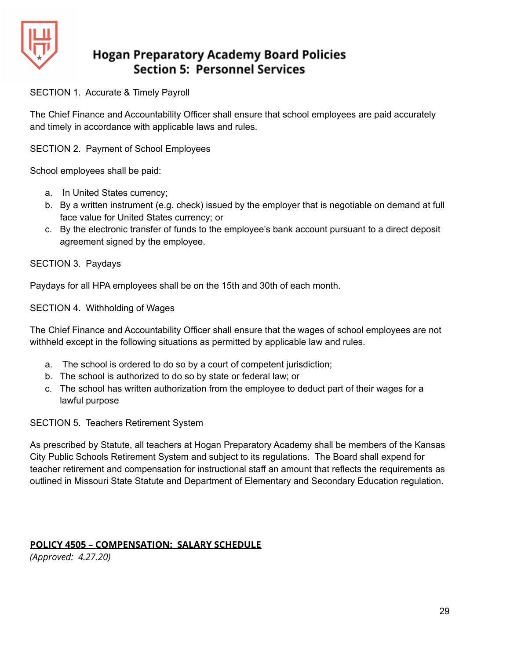

SECTION 1. Accurate & Timely Payroll

The Chief Finance and Accountability Officer shall ensure that school employees are paid accurately and timely in accordance with applicable laws and rules.

SECTION 2. Payment of School Employees

School employees shall be paid:

- a. In United States currency;
- b. By a written instrument (e.g. check) issued by the employer that is negotiable on demand at full face value for United States currency; or
- c. By the electronic transfer of funds to the employee's bank account pursuant to a direct deposit agreement signed by the employee.

SECTION 3. Paydays

Paydays for all HPA employees shall be on the 15th and 30th of each month.

SECTION 4. Withholding of Wages

The Chief Finance and Accountability Officer shall ensure that the wages of school employees are not withheld except in the following situations as permitted by applicable law and rules.

- a. The school is ordered to do so by a court of competent jurisdiction;
- b. The school is authorized to do so by state or federal law; or
- c. The school has written authorization from the employee to deduct part of their wages for a lawful purpose

SECTION 5. Teachers Retirement System

As prescribed by Statute, all teachers at Hogan Preparatory Academy shall be members of the Kansas City Public Schools Retirement System and subject to its regulations. The Board shall expend for teacher retirement and compensation for instructional staff an amount that reflects the requirements as outlined in Missouri State Statute and Department of Elementary and Secondary Education regulation.

#### **POLICY 4505 – COMPENSATION: SALARY SCHEDULE**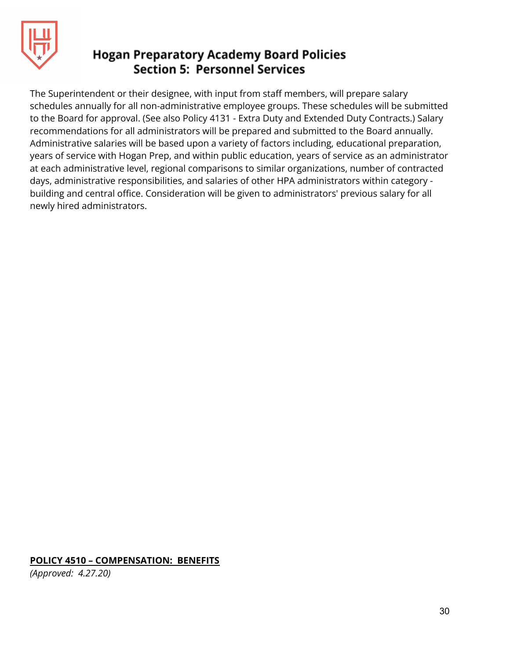

The Superintendent or their designee, with input from staff members, will prepare salary schedules annually for all non-administrative employee groups. These schedules will be submitted to the Board for approval. (See also Policy 4131 - Extra Duty and Extended Duty Contracts.) Salary recommendations for all administrators will be prepared and submitted to the Board annually. Administrative salaries will be based upon a variety of factors including, educational preparation, years of service with Hogan Prep, and within public education, years of service as an administrator at each administrative level, regional comparisons to similar organizations, number of contracted days, administrative responsibilities, and salaries of other HPA administrators within category building and central office. Consideration will be given to administrators' previous salary for all newly hired administrators.

#### **POLICY 4510 – COMPENSATION: BENEFITS**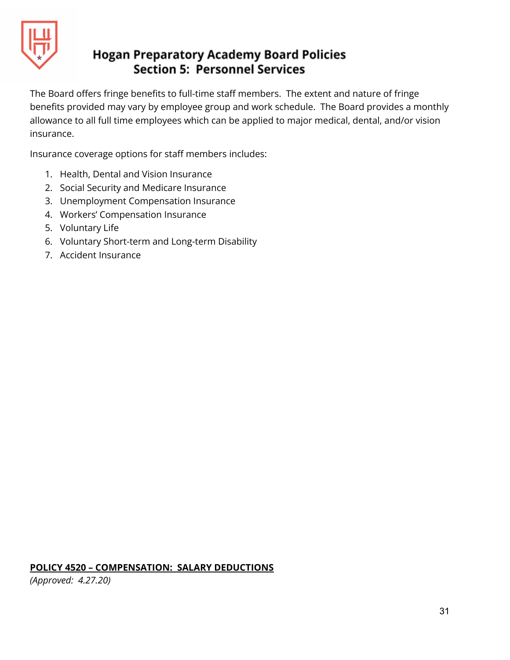

The Board offers fringe benefits to full-time staff members. The extent and nature of fringe benefits provided may vary by employee group and work schedule. The Board provides a monthly allowance to all full time employees which can be applied to major medical, dental, and/or vision insurance.

Insurance coverage options for staff members includes:

- 1. Health, Dental and Vision Insurance
- 2. Social Security and Medicare Insurance
- 3. Unemployment Compensation Insurance
- 4. Workers' Compensation Insurance
- 5. Voluntary Life
- 6. Voluntary Short-term and Long-term Disability
- 7. Accident Insurance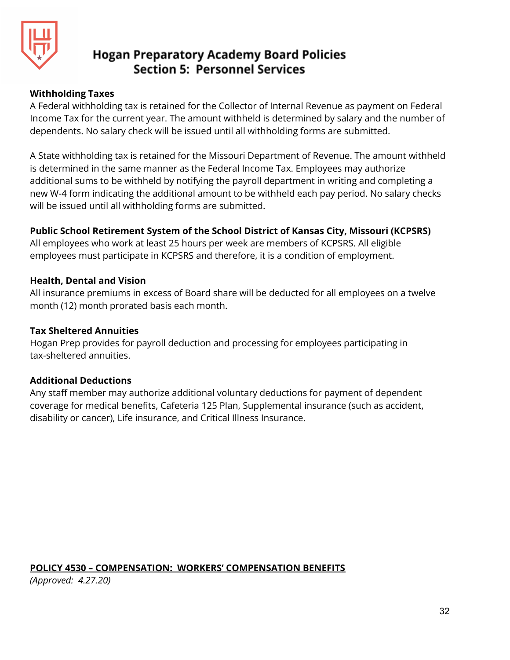

#### **Withholding Taxes**

A Federal withholding tax is retained for the Collector of Internal Revenue as payment on Federal Income Tax for the current year. The amount withheld is determined by salary and the number of dependents. No salary check will be issued until all withholding forms are submitted.

A State withholding tax is retained for the Missouri Department of Revenue. The amount withheld is determined in the same manner as the Federal Income Tax. Employees may authorize additional sums to be withheld by notifying the payroll department in writing and completing a new W-4 form indicating the additional amount to be withheld each pay period. No salary checks will be issued until all withholding forms are submitted.

#### **Public School Retirement System of the School District of Kansas City, Missouri (KCPSRS)**

All employees who work at least 25 hours per week are members of KCPSRS. All eligible employees must participate in KCPSRS and therefore, it is a condition of employment.

#### **Health, Dental and Vision**

All insurance premiums in excess of Board share will be deducted for all employees on a twelve month (12) month prorated basis each month.

#### **Tax Sheltered Annuities**

Hogan Prep provides for payroll deduction and processing for employees participating in tax-sheltered annuities.

#### **Additional Deductions**

Any staff member may authorize additional voluntary deductions for payment of dependent coverage for medical benefits, Cafeteria 125 Plan, Supplemental insurance (such as accident, disability or cancer), Life insurance, and Critical Illness Insurance.

#### **POLICY 4530 – COMPENSATION: WORKERS' COMPENSATION BENEFITS**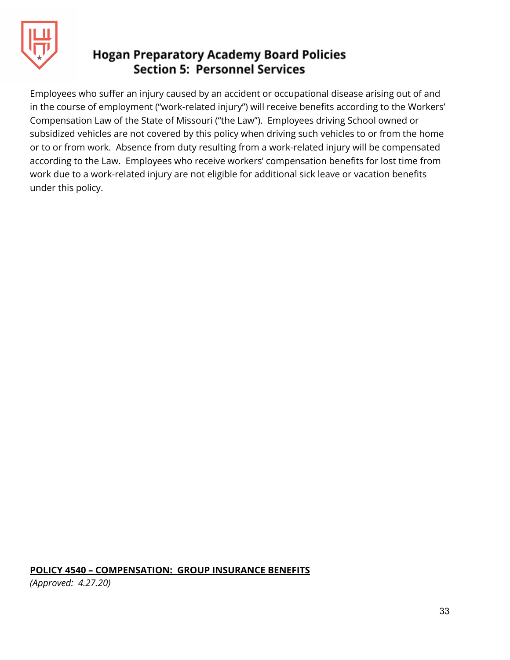

Employees who suffer an injury caused by an accident or occupational disease arising out of and in the course of employment ("work-related injury") will receive benefits according to the Workers' Compensation Law of the State of Missouri ("the Law"). Employees driving School owned or subsidized vehicles are not covered by this policy when driving such vehicles to or from the home or to or from work. Absence from duty resulting from a work-related injury will be compensated according to the Law. Employees who receive workers' compensation benefits for lost time from work due to a work-related injury are not eligible for additional sick leave or vacation benefits under this policy.

#### **POLICY 4540 – COMPENSATION: GROUP INSURANCE BENEFITS**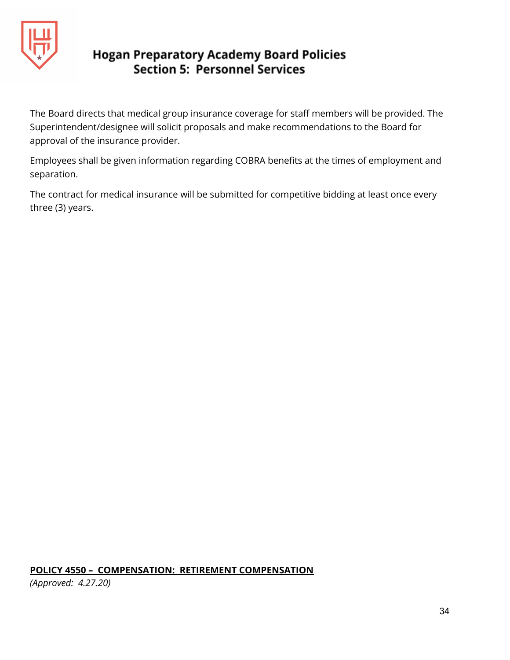

The Board directs that medical group insurance coverage for staff members will be provided. The Superintendent/designee will solicit proposals and make recommendations to the Board for approval of the insurance provider.

Employees shall be given information regarding COBRA benefits at the times of employment and separation.

The contract for medical insurance will be submitted for competitive bidding at least once every three (3) years.

#### **POLICY 4550 – COMPENSATION: RETIREMENT COMPENSATION**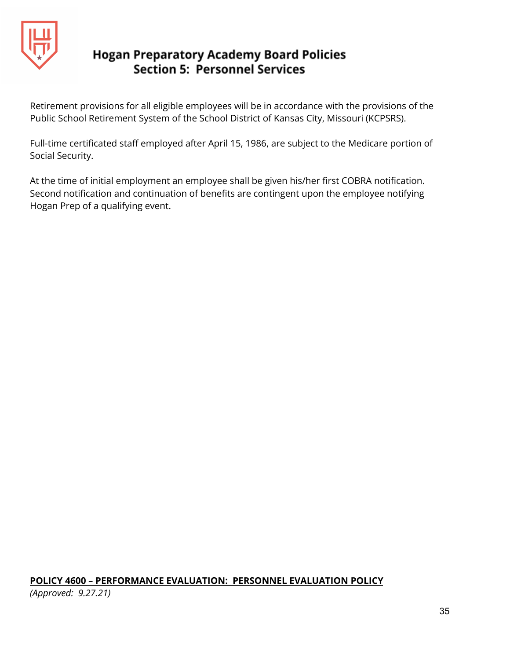

Retirement provisions for all eligible employees will be in accordance with the provisions of the Public School Retirement System of the School District of Kansas City, Missouri (KCPSRS).

Full-time certificated staff employed after April 15, 1986, are subject to the Medicare portion of Social Security.

At the time of initial employment an employee shall be given his/her first COBRA notification. Second notification and continuation of benefits are contingent upon the employee notifying Hogan Prep of a qualifying event.

## **POLICY 4600 – PERFORMANCE EVALUATION: PERSONNEL EVALUATION POLICY**

*(Approved: 9.27.21)*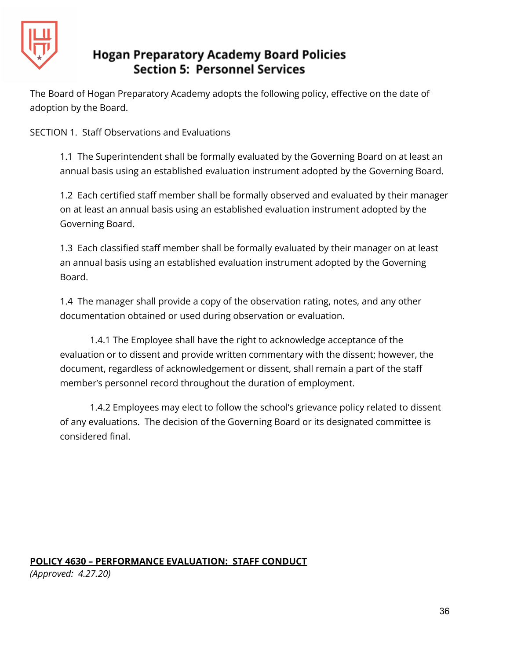

The Board of Hogan Preparatory Academy adopts the following policy, effective on the date of adoption by the Board.

SECTION 1. Staff Observations and Evaluations

1.1 The Superintendent shall be formally evaluated by the Governing Board on at least an annual basis using an established evaluation instrument adopted by the Governing Board.

1.2 Each certified staff member shall be formally observed and evaluated by their manager on at least an annual basis using an established evaluation instrument adopted by the Governing Board.

1.3 Each classified staff member shall be formally evaluated by their manager on at least an annual basis using an established evaluation instrument adopted by the Governing Board.

1.4 The manager shall provide a copy of the observation rating, notes, and any other documentation obtained or used during observation or evaluation.

1.4.1 The Employee shall have the right to acknowledge acceptance of the evaluation or to dissent and provide written commentary with the dissent; however, the document, regardless of acknowledgement or dissent, shall remain a part of the staff member's personnel record throughout the duration of employment.

1.4.2 Employees may elect to follow the school's grievance policy related to dissent of any evaluations. The decision of the Governing Board or its designated committee is considered final.

## **POLICY 4630 – PERFORMANCE EVALUATION: STAFF CONDUCT**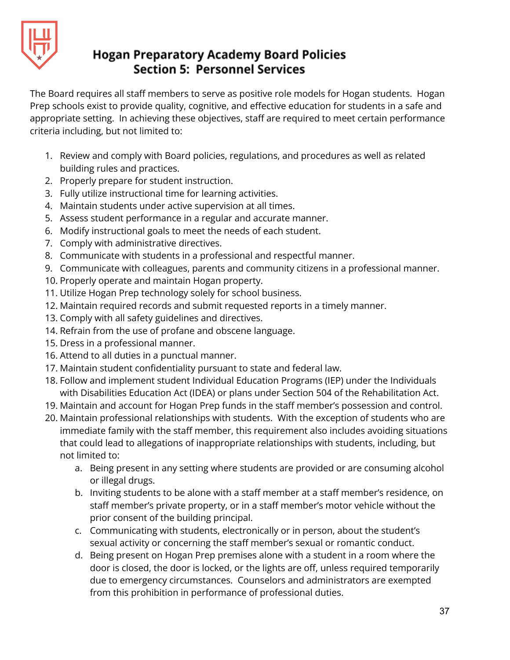

The Board requires all staff members to serve as positive role models for Hogan students. Hogan Prep schools exist to provide quality, cognitive, and effective education for students in a safe and appropriate setting. In achieving these objectives, staff are required to meet certain performance criteria including, but not limited to:

- 1. Review and comply with Board policies, regulations, and procedures as well as related building rules and practices.
- 2. Properly prepare for student instruction.
- 3. Fully utilize instructional time for learning activities.
- 4. Maintain students under active supervision at all times.
- 5. Assess student performance in a regular and accurate manner.
- 6. Modify instructional goals to meet the needs of each student.
- 7. Comply with administrative directives.
- 8. Communicate with students in a professional and respectful manner.
- 9. Communicate with colleagues, parents and community citizens in a professional manner.
- 10. Properly operate and maintain Hogan property.
- 11. Utilize Hogan Prep technology solely for school business.
- 12. Maintain required records and submit requested reports in a timely manner.
- 13. Comply with all safety guidelines and directives.
- 14. Refrain from the use of profane and obscene language.
- 15. Dress in a professional manner.
- 16. Attend to all duties in a punctual manner.
- 17. Maintain student confidentiality pursuant to state and federal law.
- 18. Follow and implement student Individual Education Programs (IEP) under the Individuals with Disabilities Education Act (IDEA) or plans under Section 504 of the Rehabilitation Act.
- 19. Maintain and account for Hogan Prep funds in the staff member's possession and control.
- 20. Maintain professional relationships with students. With the exception of students who are immediate family with the staff member, this requirement also includes avoiding situations that could lead to allegations of inappropriate relationships with students, including, but not limited to:
	- a. Being present in any setting where students are provided or are consuming alcohol or illegal drugs.
	- b. Inviting students to be alone with a staff member at a staff member's residence, on staff member's private property, or in a staff member's motor vehicle without the prior consent of the building principal.
	- c. Communicating with students, electronically or in person, about the student's sexual activity or concerning the staff member's sexual or romantic conduct.
	- d. Being present on Hogan Prep premises alone with a student in a room where the door is closed, the door is locked, or the lights are off, unless required temporarily due to emergency circumstances. Counselors and administrators are exempted from this prohibition in performance of professional duties.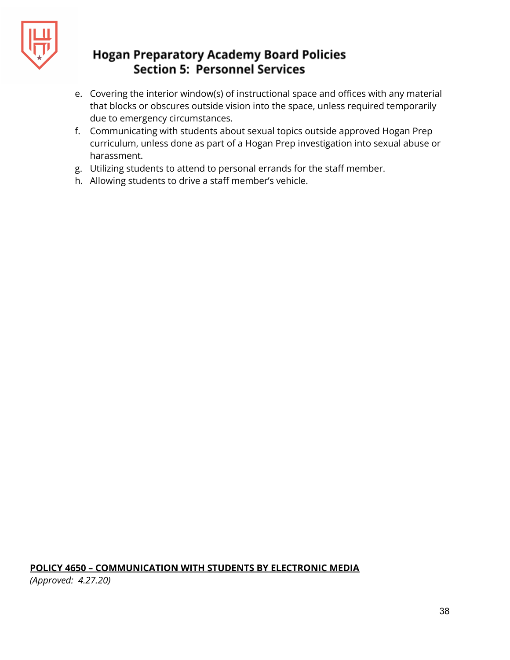

- e. Covering the interior window(s) of instructional space and offices with any material that blocks or obscures outside vision into the space, unless required temporarily due to emergency circumstances.
- f. Communicating with students about sexual topics outside approved Hogan Prep curriculum, unless done as part of a Hogan Prep investigation into sexual abuse or harassment.
- g. Utilizing students to attend to personal errands for the staff member.
- h. Allowing students to drive a staff member's vehicle.

#### **POLICY 4650 – COMMUNICATION WITH STUDENTS BY ELECTRONIC MEDIA**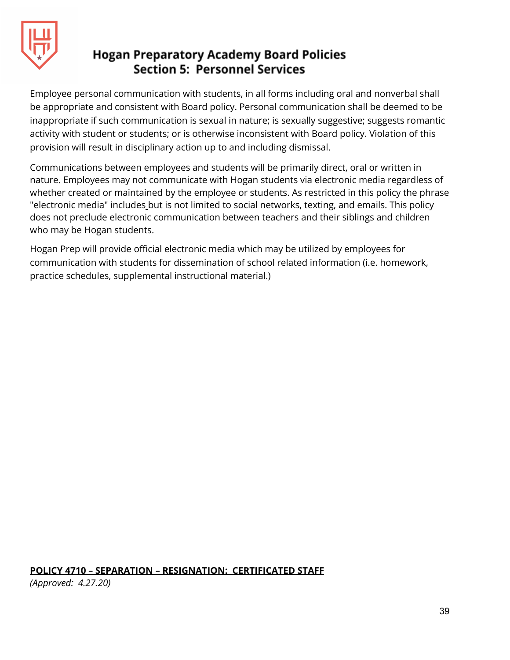

Employee personal communication with students, in all forms including oral and nonverbal shall be appropriate and consistent with Board policy. Personal communication shall be deemed to be inappropriate if such communication is sexual in nature; is sexually suggestive; suggests romantic activity with student or students; or is otherwise inconsistent with Board policy. Violation of this provision will result in disciplinary action up to and including dismissal.

Communications between employees and students will be primarily direct, oral or written in nature. Employees may not communicate with Hogan students via electronic media regardless of whether created or maintained by the employee or students. As restricted in this policy the phrase "electronic media" includes but is not limited to social networks, texting, and emails. This policy does not preclude electronic communication between teachers and their siblings and children who may be Hogan students.

Hogan Prep will provide official electronic media which may be utilized by employees for communication with students for dissemination of school related information (i.e. homework, practice schedules, supplemental instructional material.)

## **POLICY 4710 – SEPARATION – RESIGNATION: CERTIFICATED STAFF**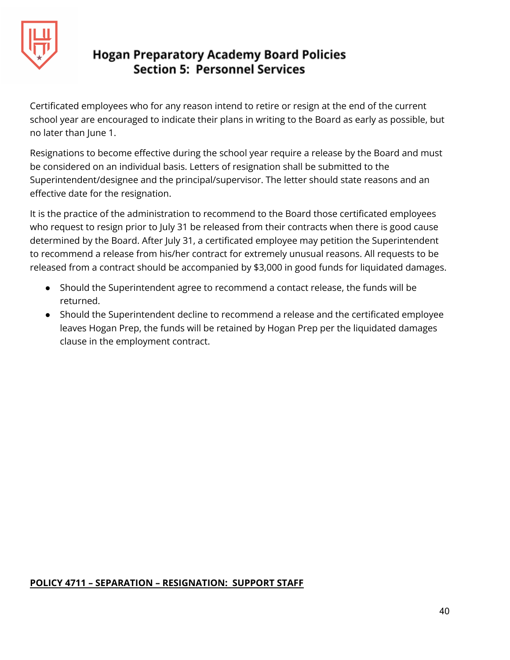

Certificated employees who for any reason intend to retire or resign at the end of the current school year are encouraged to indicate their plans in writing to the Board as early as possible, but no later than June 1.

Resignations to become effective during the school year require a release by the Board and must be considered on an individual basis. Letters of resignation shall be submitted to the Superintendent/designee and the principal/supervisor. The letter should state reasons and an effective date for the resignation.

It is the practice of the administration to recommend to the Board those certificated employees who request to resign prior to July 31 be released from their contracts when there is good cause determined by the Board. After July 31, a certificated employee may petition the Superintendent to recommend a release from his/her contract for extremely unusual reasons. All requests to be released from a contract should be accompanied by \$3,000 in good funds for liquidated damages.

- Should the Superintendent agree to recommend a contact release, the funds will be returned.
- Should the Superintendent decline to recommend a release and the certificated employee leaves Hogan Prep, the funds will be retained by Hogan Prep per the liquidated damages clause in the employment contract.

#### **POLICY 4711 – SEPARATION – RESIGNATION: SUPPORT STAFF**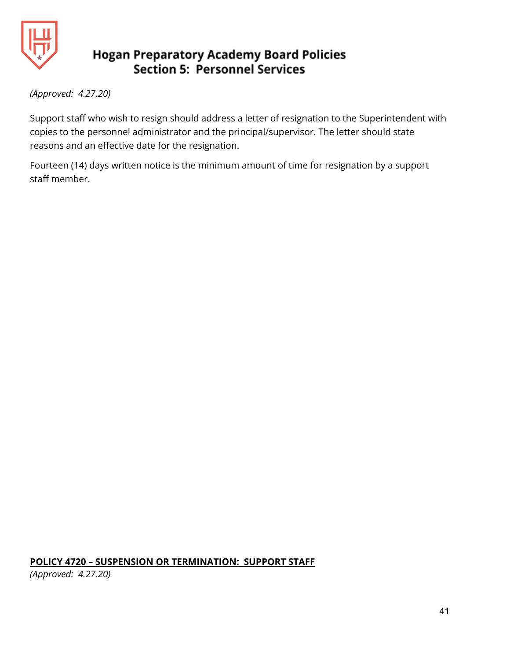

*(Approved: 4.27.20)*

Support staff who wish to resign should address a letter of resignation to the Superintendent with copies to the personnel administrator and the principal/supervisor. The letter should state reasons and an effective date for the resignation.

Fourteen (14) days written notice is the minimum amount of time for resignation by a support staff member.

# **POLICY 4720 – SUSPENSION OR TERMINATION: SUPPORT STAFF**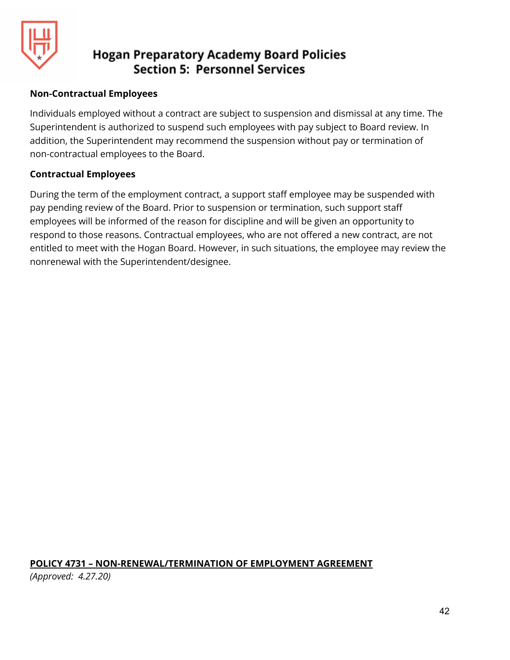

#### **Non-Contractual Employees**

Individuals employed without a contract are subject to suspension and dismissal at any time. The Superintendent is authorized to suspend such employees with pay subject to Board review. In addition, the Superintendent may recommend the suspension without pay or termination of non-contractual employees to the Board.

#### **Contractual Employees**

During the term of the employment contract, a support staff employee may be suspended with pay pending review of the Board. Prior to suspension or termination, such support staff employees will be informed of the reason for discipline and will be given an opportunity to respond to those reasons. Contractual employees, who are not offered a new contract, are not entitled to meet with the Hogan Board. However, in such situations, the employee may review the nonrenewal with the Superintendent/designee.

**POLICY 4731 – NON-RENEWAL/TERMINATION OF EMPLOYMENT AGREEMENT** *(Approved: 4.27.20)*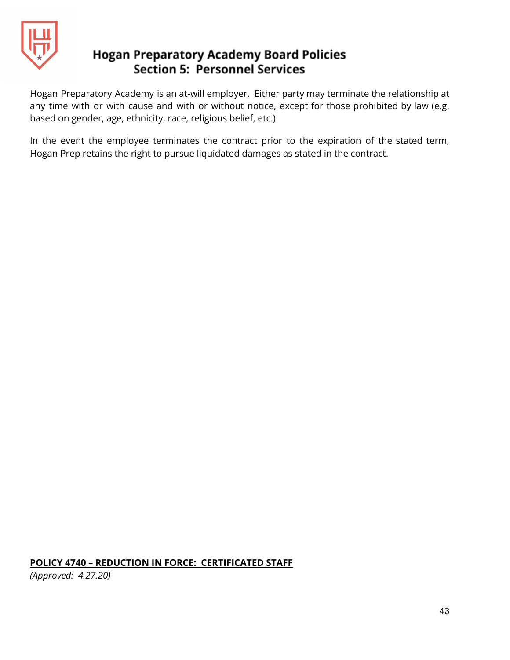

Hogan Preparatory Academy is an at-will employer. Either party may terminate the relationship at any time with or with cause and with or without notice, except for those prohibited by law (e.g. based on gender, age, ethnicity, race, religious belief, etc.)

In the event the employee terminates the contract prior to the expiration of the stated term, Hogan Prep retains the right to pursue liquidated damages as stated in the contract.

**POLICY 4740 – REDUCTION IN FORCE: CERTIFICATED STAFF**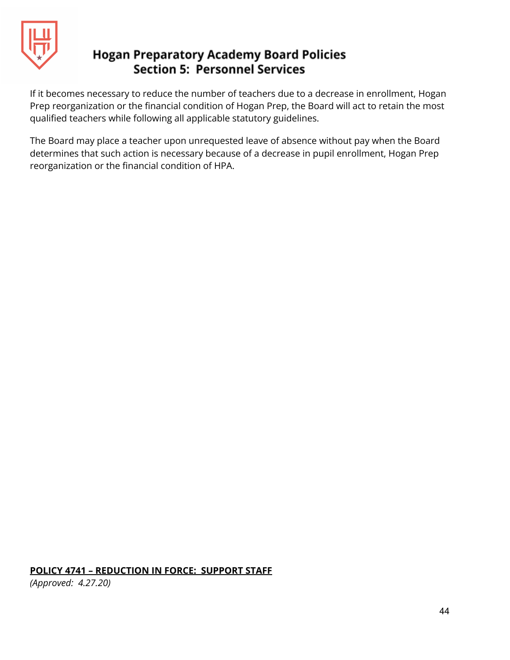

If it becomes necessary to reduce the number of teachers due to a decrease in enrollment, Hogan Prep reorganization or the financial condition of Hogan Prep, the Board will act to retain the most qualified teachers while following all applicable statutory guidelines.

The Board may place a teacher upon unrequested leave of absence without pay when the Board determines that such action is necessary because of a decrease in pupil enrollment, Hogan Prep reorganization or the financial condition of HPA.

#### **POLICY 4741 – REDUCTION IN FORCE: SUPPORT STAFF**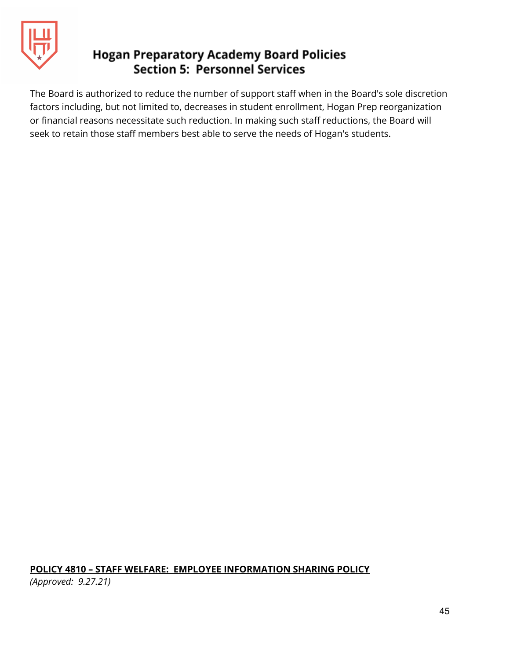

The Board is authorized to reduce the number of support staff when in the Board's sole discretion factors including, but not limited to, decreases in student enrollment, Hogan Prep reorganization or financial reasons necessitate such reduction. In making such staff reductions, the Board will seek to retain those staff members best able to serve the needs of Hogan's students.

## **POLICY 4810 – STAFF WELFARE: EMPLOYEE INFORMATION SHARING POLICY**

*(Approved: 9.27.21)*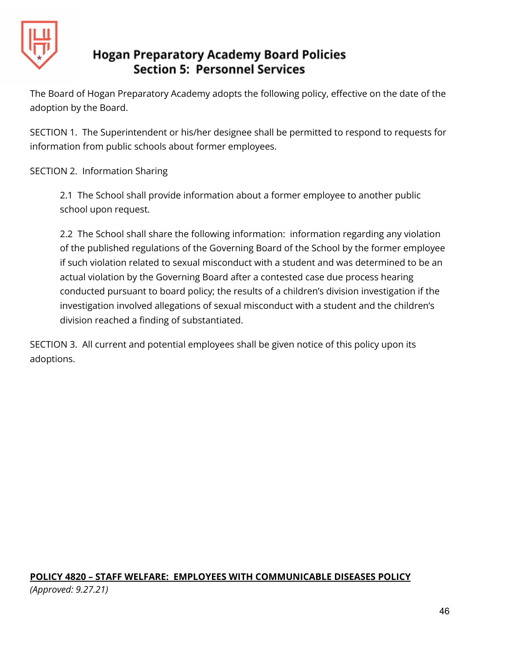

The Board of Hogan Preparatory Academy adopts the following policy, effective on the date of the adoption by the Board.

SECTION 1. The Superintendent or his/her designee shall be permitted to respond to requests for information from public schools about former employees.

SECTION 2. Information Sharing

2.1 The School shall provide information about a former employee to another public school upon request.

2.2 The School shall share the following information: information regarding any violation of the published regulations of the Governing Board of the School by the former employee if such violation related to sexual misconduct with a student and was determined to be an actual violation by the Governing Board after a contested case due process hearing conducted pursuant to board policy; the results of a children's division investigation if the investigation involved allegations of sexual misconduct with a student and the children's division reached a finding of substantiated.

SECTION 3. All current and potential employees shall be given notice of this policy upon its adoptions.

## **POLICY 4820 – STAFF WELFARE: EMPLOYEES WITH COMMUNICABLE DISEASES POLICY** *(Approved: 9.27.21)*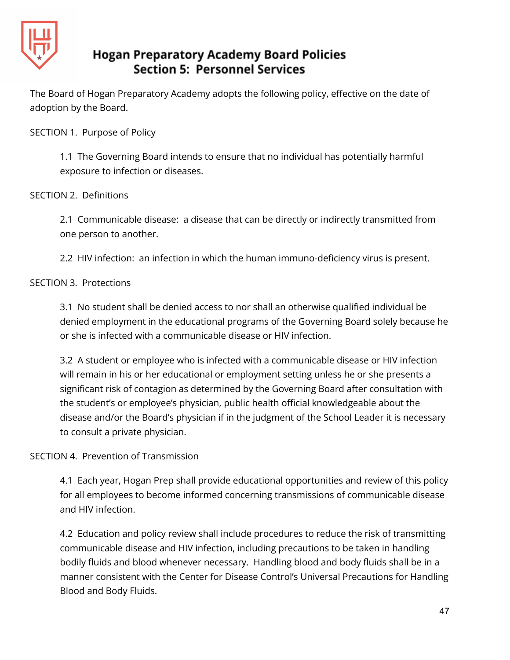

The Board of Hogan Preparatory Academy adopts the following policy, effective on the date of adoption by the Board.

SECTION 1. Purpose of Policy

1.1 The Governing Board intends to ensure that no individual has potentially harmful exposure to infection or diseases.

#### SECTION 2. Definitions

2.1 Communicable disease: a disease that can be directly or indirectly transmitted from one person to another.

2.2 HIV infection: an infection in which the human immuno-deficiency virus is present.

#### SECTION 3. Protections

3.1 No student shall be denied access to nor shall an otherwise qualified individual be denied employment in the educational programs of the Governing Board solely because he or she is infected with a communicable disease or HIV infection.

3.2 A student or employee who is infected with a communicable disease or HIV infection will remain in his or her educational or employment setting unless he or she presents a significant risk of contagion as determined by the Governing Board after consultation with the student's or employee's physician, public health official knowledgeable about the disease and/or the Board's physician if in the judgment of the School Leader it is necessary to consult a private physician.

## SECTION 4. Prevention of Transmission

4.1 Each year, Hogan Prep shall provide educational opportunities and review of this policy for all employees to become informed concerning transmissions of communicable disease and HIV infection.

4.2 Education and policy review shall include procedures to reduce the risk of transmitting communicable disease and HIV infection, including precautions to be taken in handling bodily fluids and blood whenever necessary. Handling blood and body fluids shall be in a manner consistent with the Center for Disease Control's Universal Precautions for Handling Blood and Body Fluids.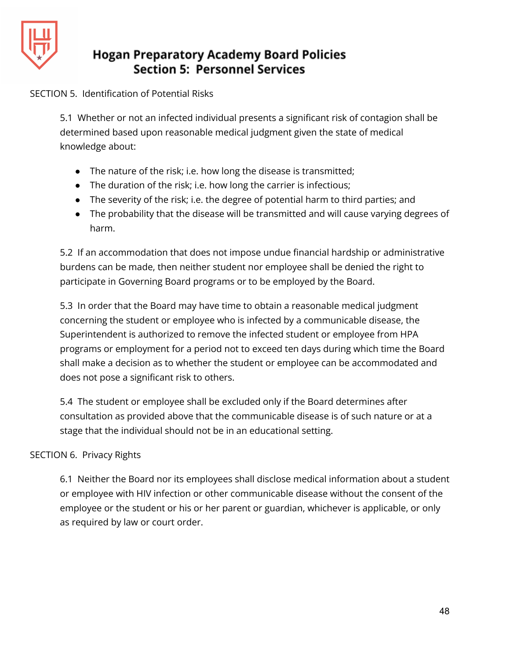

#### SECTION 5. Identification of Potential Risks

5.1 Whether or not an infected individual presents a significant risk of contagion shall be determined based upon reasonable medical judgment given the state of medical knowledge about:

- The nature of the risk; i.e. how long the disease is transmitted;
- The duration of the risk; i.e. how long the carrier is infectious;
- The severity of the risk; i.e. the degree of potential harm to third parties; and
- The probability that the disease will be transmitted and will cause varying degrees of harm.

5.2 If an accommodation that does not impose undue financial hardship or administrative burdens can be made, then neither student nor employee shall be denied the right to participate in Governing Board programs or to be employed by the Board.

5.3 In order that the Board may have time to obtain a reasonable medical judgment concerning the student or employee who is infected by a communicable disease, the Superintendent is authorized to remove the infected student or employee from HPA programs or employment for a period not to exceed ten days during which time the Board shall make a decision as to whether the student or employee can be accommodated and does not pose a significant risk to others.

5.4 The student or employee shall be excluded only if the Board determines after consultation as provided above that the communicable disease is of such nature or at a stage that the individual should not be in an educational setting.

## SECTION 6. Privacy Rights

6.1 Neither the Board nor its employees shall disclose medical information about a student or employee with HIV infection or other communicable disease without the consent of the employee or the student or his or her parent or guardian, whichever is applicable, or only as required by law or court order.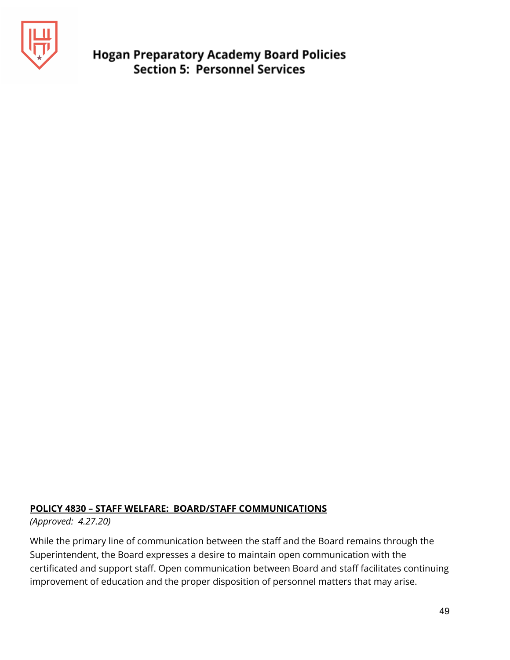

#### **POLICY 4830 – STAFF WELFARE: BOARD/STAFF COMMUNICATIONS**

*(Approved: 4.27.20)*

While the primary line of communication between the staff and the Board remains through the Superintendent, the Board expresses a desire to maintain open communication with the certificated and support staff. Open communication between Board and staff facilitates continuing improvement of education and the proper disposition of personnel matters that may arise.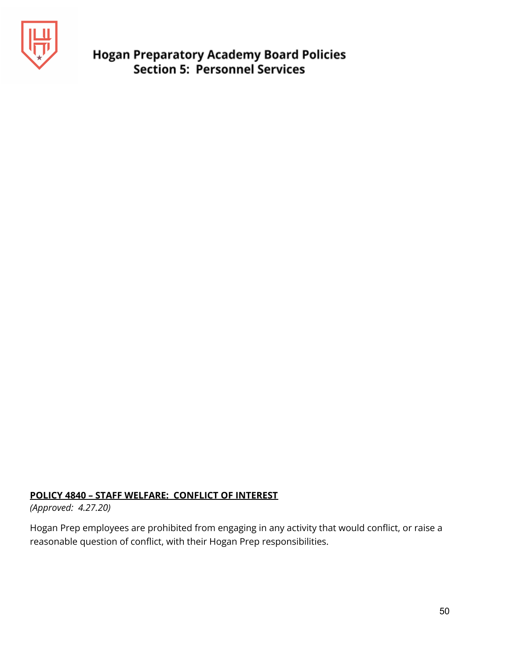

#### **POLICY 4840 – STAFF WELFARE: CONFLICT OF INTEREST**

*(Approved: 4.27.20)*

Hogan Prep employees are prohibited from engaging in any activity that would conflict, or raise a reasonable question of conflict, with their Hogan Prep responsibilities.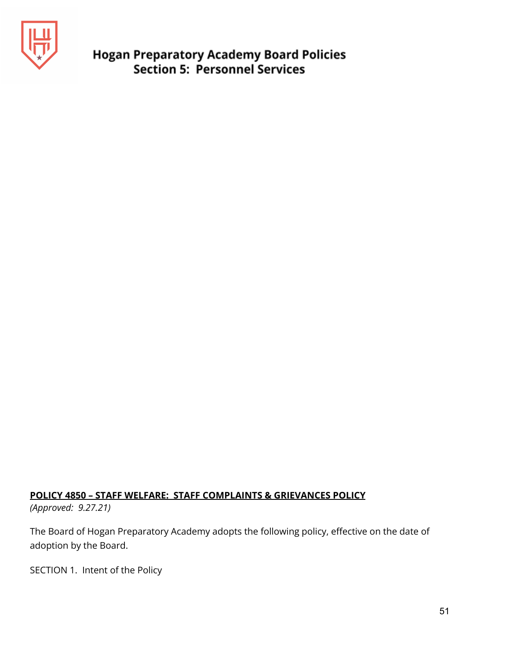

#### **POLICY 4850 – STAFF WELFARE: STAFF COMPLAINTS & GRIEVANCES POLICY**

*(Approved: 9.27.21)*

The Board of Hogan Preparatory Academy adopts the following policy, effective on the date of adoption by the Board.

SECTION 1. Intent of the Policy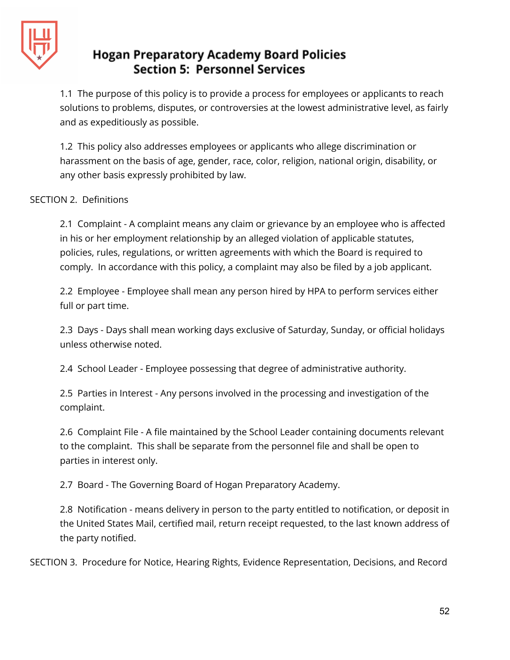

1.1 The purpose of this policy is to provide a process for employees or applicants to reach solutions to problems, disputes, or controversies at the lowest administrative level, as fairly and as expeditiously as possible.

1.2 This policy also addresses employees or applicants who allege discrimination or harassment on the basis of age, gender, race, color, religion, national origin, disability, or any other basis expressly prohibited by law.

#### SECTION 2. Definitions

2.1 Complaint - A complaint means any claim or grievance by an employee who is affected in his or her employment relationship by an alleged violation of applicable statutes, policies, rules, regulations, or written agreements with which the Board is required to comply. In accordance with this policy, a complaint may also be filed by a job applicant.

2.2 Employee - Employee shall mean any person hired by HPA to perform services either full or part time.

2.3 Days - Days shall mean working days exclusive of Saturday, Sunday, or official holidays unless otherwise noted.

2.4 School Leader - Employee possessing that degree of administrative authority.

2.5 Parties in Interest - Any persons involved in the processing and investigation of the complaint.

2.6 Complaint File - A file maintained by the School Leader containing documents relevant to the complaint. This shall be separate from the personnel file and shall be open to parties in interest only.

2.7 Board - The Governing Board of Hogan Preparatory Academy.

2.8 Notification - means delivery in person to the party entitled to notification, or deposit in the United States Mail, certified mail, return receipt requested, to the last known address of the party notified.

SECTION 3. Procedure for Notice, Hearing Rights, Evidence Representation, Decisions, and Record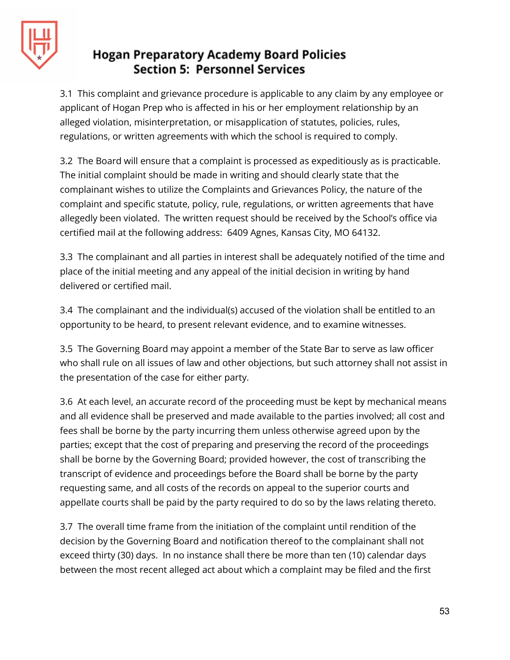

3.1 This complaint and grievance procedure is applicable to any claim by any employee or applicant of Hogan Prep who is affected in his or her employment relationship by an alleged violation, misinterpretation, or misapplication of statutes, policies, rules, regulations, or written agreements with which the school is required to comply.

3.2 The Board will ensure that a complaint is processed as expeditiously as is practicable. The initial complaint should be made in writing and should clearly state that the complainant wishes to utilize the Complaints and Grievances Policy, the nature of the complaint and specific statute, policy, rule, regulations, or written agreements that have allegedly been violated. The written request should be received by the School's office via certified mail at the following address: 6409 Agnes, Kansas City, MO 64132.

3.3 The complainant and all parties in interest shall be adequately notified of the time and place of the initial meeting and any appeal of the initial decision in writing by hand delivered or certified mail.

3.4 The complainant and the individual(s) accused of the violation shall be entitled to an opportunity to be heard, to present relevant evidence, and to examine witnesses.

3.5 The Governing Board may appoint a member of the State Bar to serve as law officer who shall rule on all issues of law and other objections, but such attorney shall not assist in the presentation of the case for either party.

3.6 At each level, an accurate record of the proceeding must be kept by mechanical means and all evidence shall be preserved and made available to the parties involved; all cost and fees shall be borne by the party incurring them unless otherwise agreed upon by the parties; except that the cost of preparing and preserving the record of the proceedings shall be borne by the Governing Board; provided however, the cost of transcribing the transcript of evidence and proceedings before the Board shall be borne by the party requesting same, and all costs of the records on appeal to the superior courts and appellate courts shall be paid by the party required to do so by the laws relating thereto.

3.7 The overall time frame from the initiation of the complaint until rendition of the decision by the Governing Board and notification thereof to the complainant shall not exceed thirty (30) days. In no instance shall there be more than ten (10) calendar days between the most recent alleged act about which a complaint may be filed and the first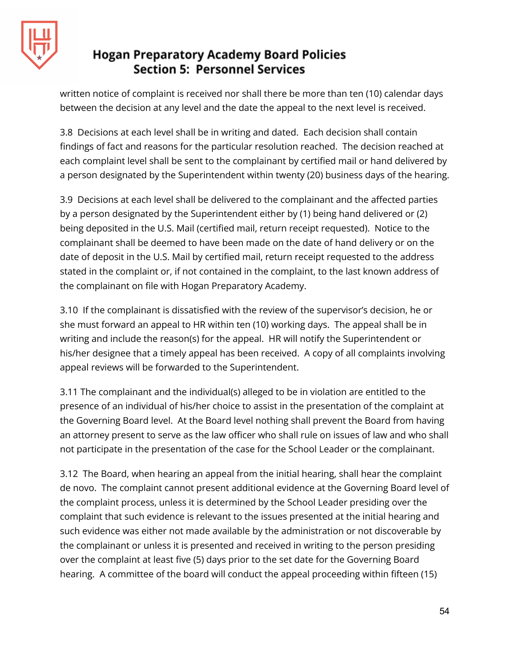

written notice of complaint is received nor shall there be more than ten (10) calendar days between the decision at any level and the date the appeal to the next level is received.

3.8 Decisions at each level shall be in writing and dated. Each decision shall contain findings of fact and reasons for the particular resolution reached. The decision reached at each complaint level shall be sent to the complainant by certified mail or hand delivered by a person designated by the Superintendent within twenty (20) business days of the hearing.

3.9 Decisions at each level shall be delivered to the complainant and the affected parties by a person designated by the Superintendent either by (1) being hand delivered or (2) being deposited in the U.S. Mail (certified mail, return receipt requested). Notice to the complainant shall be deemed to have been made on the date of hand delivery or on the date of deposit in the U.S. Mail by certified mail, return receipt requested to the address stated in the complaint or, if not contained in the complaint, to the last known address of the complainant on file with Hogan Preparatory Academy.

3.10 If the complainant is dissatisfied with the review of the supervisor's decision, he or she must forward an appeal to HR within ten (10) working days. The appeal shall be in writing and include the reason(s) for the appeal. HR will notify the Superintendent or his/her designee that a timely appeal has been received. A copy of all complaints involving appeal reviews will be forwarded to the Superintendent.

3.11 The complainant and the individual(s) alleged to be in violation are entitled to the presence of an individual of his/her choice to assist in the presentation of the complaint at the Governing Board level. At the Board level nothing shall prevent the Board from having an attorney present to serve as the law officer who shall rule on issues of law and who shall not participate in the presentation of the case for the School Leader or the complainant.

3.12 The Board, when hearing an appeal from the initial hearing, shall hear the complaint de novo. The complaint cannot present additional evidence at the Governing Board level of the complaint process, unless it is determined by the School Leader presiding over the complaint that such evidence is relevant to the issues presented at the initial hearing and such evidence was either not made available by the administration or not discoverable by the complainant or unless it is presented and received in writing to the person presiding over the complaint at least five (5) days prior to the set date for the Governing Board hearing. A committee of the board will conduct the appeal proceeding within fifteen (15)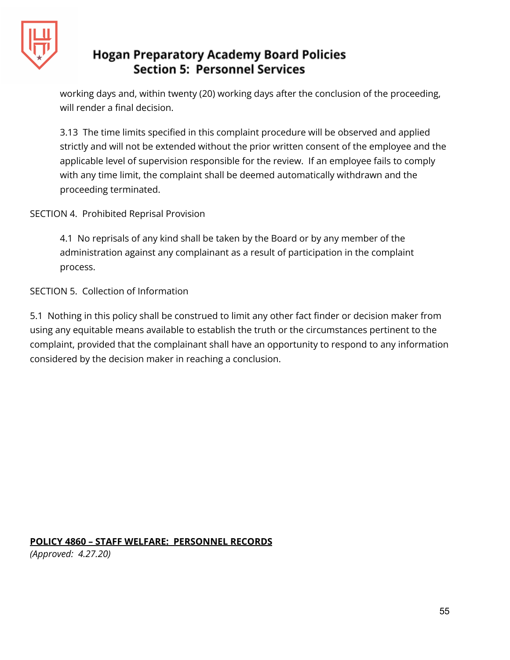

working days and, within twenty (20) working days after the conclusion of the proceeding, will render a final decision.

3.13 The time limits specified in this complaint procedure will be observed and applied strictly and will not be extended without the prior written consent of the employee and the applicable level of supervision responsible for the review. If an employee fails to comply with any time limit, the complaint shall be deemed automatically withdrawn and the proceeding terminated.

SECTION 4. Prohibited Reprisal Provision

4.1 No reprisals of any kind shall be taken by the Board or by any member of the administration against any complainant as a result of participation in the complaint process.

SECTION 5. Collection of Information

5.1 Nothing in this policy shall be construed to limit any other fact finder or decision maker from using any equitable means available to establish the truth or the circumstances pertinent to the complaint, provided that the complainant shall have an opportunity to respond to any information considered by the decision maker in reaching a conclusion.

**POLICY 4860 – STAFF WELFARE: PERSONNEL RECORDS**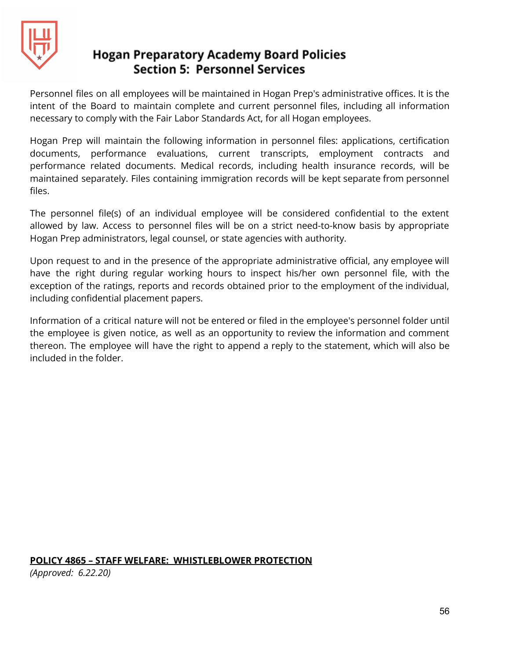

Personnel files on all employees will be maintained in Hogan Prep's administrative offices. It is the intent of the Board to maintain complete and current personnel files, including all information necessary to comply with the Fair Labor Standards Act, for all Hogan employees.

Hogan Prep will maintain the following information in personnel files: applications, certification documents, performance evaluations, current transcripts, employment contracts and performance related documents. Medical records, including health insurance records, will be maintained separately. Files containing immigration records will be kept separate from personnel files.

The personnel file(s) of an individual employee will be considered confidential to the extent allowed by law. Access to personnel files will be on a strict need-to-know basis by appropriate Hogan Prep administrators, legal counsel, or state agencies with authority.

Upon request to and in the presence of the appropriate administrative official, any employee will have the right during regular working hours to inspect his/her own personnel file, with the exception of the ratings, reports and records obtained prior to the employment of the individual, including confidential placement papers.

Information of a critical nature will not be entered or filed in the employee's personnel folder until the employee is given notice, as well as an opportunity to review the information and comment thereon. The employee will have the right to append a reply to the statement, which will also be included in the folder.

#### **POLICY 4865 – STAFF WELFARE: WHISTLEBLOWER PROTECTION**

*(Approved: 6.22.20)*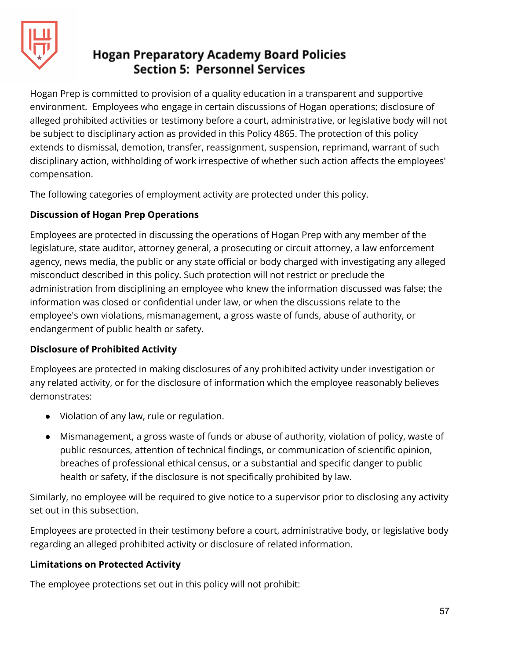

Hogan Prep is committed to provision of a quality education in a transparent and supportive environment. Employees who engage in certain discussions of Hogan operations; disclosure of alleged prohibited activities or testimony before a court, administrative, or legislative body will not be subject to disciplinary action as provided in this Policy 4865. The protection of this policy extends to dismissal, demotion, transfer, reassignment, suspension, reprimand, warrant of such disciplinary action, withholding of work irrespective of whether such action affects the employees' compensation.

The following categories of employment activity are protected under this policy.

## **Discussion of Hogan Prep Operations**

Employees are protected in discussing the operations of Hogan Prep with any member of the legislature, state auditor, attorney general, a prosecuting or circuit attorney, a law enforcement agency, news media, the public or any state official or body charged with investigating any alleged misconduct described in this policy. Such protection will not restrict or preclude the administration from disciplining an employee who knew the information discussed was false; the information was closed or confidential under law, or when the discussions relate to the employee's own violations, mismanagement, a gross waste of funds, abuse of authority, or endangerment of public health or safety.

## **Disclosure of Prohibited Activity**

Employees are protected in making disclosures of any prohibited activity under investigation or any related activity, or for the disclosure of information which the employee reasonably believes demonstrates:

- Violation of any law, rule or regulation.
- Mismanagement, a gross waste of funds or abuse of authority, violation of policy, waste of public resources, attention of technical findings, or communication of scientific opinion, breaches of professional ethical census, or a substantial and specific danger to public health or safety, if the disclosure is not specifically prohibited by law.

Similarly, no employee will be required to give notice to a supervisor prior to disclosing any activity set out in this subsection.

Employees are protected in their testimony before a court, administrative body, or legislative body regarding an alleged prohibited activity or disclosure of related information.

## **Limitations on Protected Activity**

The employee protections set out in this policy will not prohibit: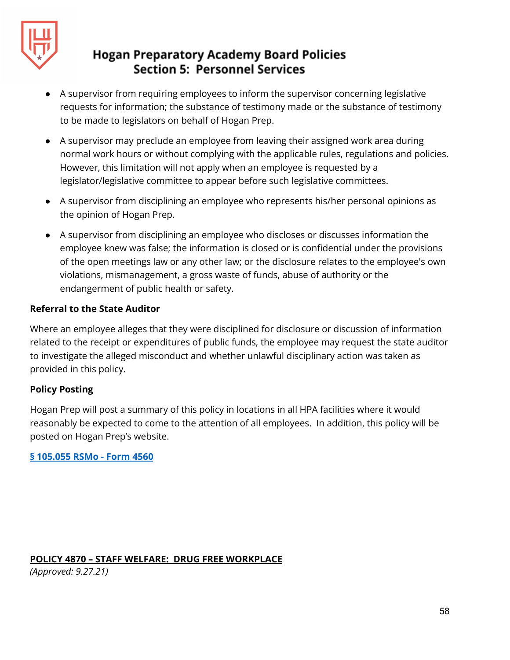

- A supervisor from requiring employees to inform the supervisor concerning legislative requests for information; the substance of testimony made or the substance of testimony to be made to legislators on behalf of Hogan Prep.
- A supervisor may preclude an employee from leaving their assigned work area during normal work hours or without complying with the applicable rules, regulations and policies. However, this limitation will not apply when an employee is requested by a legislator/legislative committee to appear before such legislative committees.
- A supervisor from disciplining an employee who represents his/her personal opinions as the opinion of Hogan Prep.
- A supervisor from disciplining an employee who discloses or discusses information the employee knew was false; the information is closed or is confidential under the provisions of the open meetings law or any other law; or the disclosure relates to the employee's own violations, mismanagement, a gross waste of funds, abuse of authority or the endangerment of public health or safety.

#### **Referral to the State Auditor**

Where an employee alleges that they were disciplined for disclosure or discussion of information related to the receipt or expenditures of public funds, the employee may request the state auditor to investigate the alleged misconduct and whether unlawful disciplinary action was taken as provided in this policy.

#### **Policy Posting**

Hogan Prep will post a summary of this policy in locations in all HPA facilities where it would reasonably be expected to come to the attention of all employees. In addition, this policy will be posted on Hogan Prep's website.

**§ [105.055](http://www.moconed.com/forms/4865%20Form-Section%20105.055%20R.S.Mo.pdf) RSMo - Form 4560**

#### **POLICY 4870 – STAFF WELFARE: DRUG FREE WORKPLACE**

*(Approved: 9.27.21)*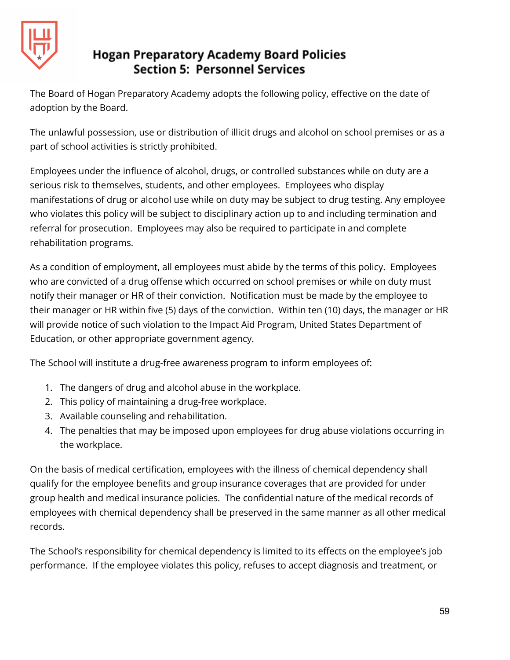

The Board of Hogan Preparatory Academy adopts the following policy, effective on the date of adoption by the Board.

The unlawful possession, use or distribution of illicit drugs and alcohol on school premises or as a part of school activities is strictly prohibited.

Employees under the influence of alcohol, drugs, or controlled substances while on duty are a serious risk to themselves, students, and other employees. Employees who display manifestations of drug or alcohol use while on duty may be subject to drug testing. Any employee who violates this policy will be subject to disciplinary action up to and including termination and referral for prosecution. Employees may also be required to participate in and complete rehabilitation programs.

As a condition of employment, all employees must abide by the terms of this policy. Employees who are convicted of a drug offense which occurred on school premises or while on duty must notify their manager or HR of their conviction. Notification must be made by the employee to their manager or HR within five (5) days of the conviction. Within ten (10) days, the manager or HR will provide notice of such violation to the Impact Aid Program, United States Department of Education, or other appropriate government agency.

The School will institute a drug-free awareness program to inform employees of:

- 1. The dangers of drug and alcohol abuse in the workplace.
- 2. This policy of maintaining a drug-free workplace.
- 3. Available counseling and rehabilitation.
- 4. The penalties that may be imposed upon employees for drug abuse violations occurring in the workplace.

On the basis of medical certification, employees with the illness of chemical dependency shall qualify for the employee benefits and group insurance coverages that are provided for under group health and medical insurance policies. The confidential nature of the medical records of employees with chemical dependency shall be preserved in the same manner as all other medical records.

The School's responsibility for chemical dependency is limited to its effects on the employee's job performance. If the employee violates this policy, refuses to accept diagnosis and treatment, or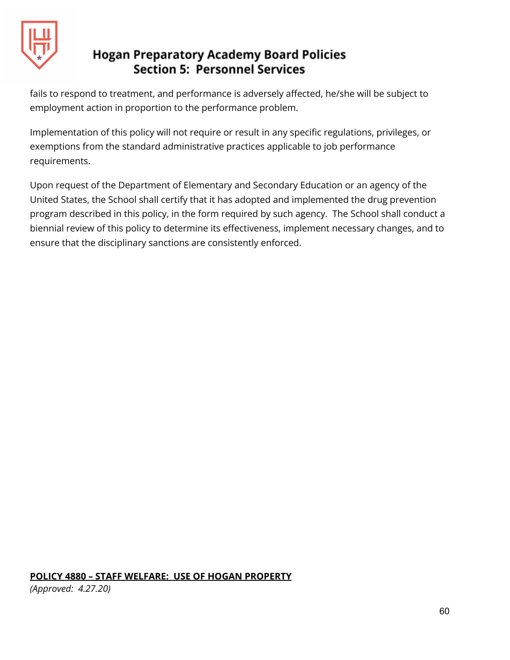

fails to respond to treatment, and performance is adversely affected, he/she will be subject to employment action in proportion to the performance problem.

Implementation of this policy will not require or result in any specific regulations, privileges, or exemptions from the standard administrative practices applicable to job performance requirements.

Upon request of the Department of Elementary and Secondary Education or an agency of the United States, the School shall certify that it has adopted and implemented the drug prevention program described in this policy, in the form required by such agency. The School shall conduct a biennial review of this policy to determine its effectiveness, implement necessary changes, and to ensure that the disciplinary sanctions are consistently enforced.

#### **POLICY 4880 – STAFF WELFARE: USE OF HOGAN PROPERTY**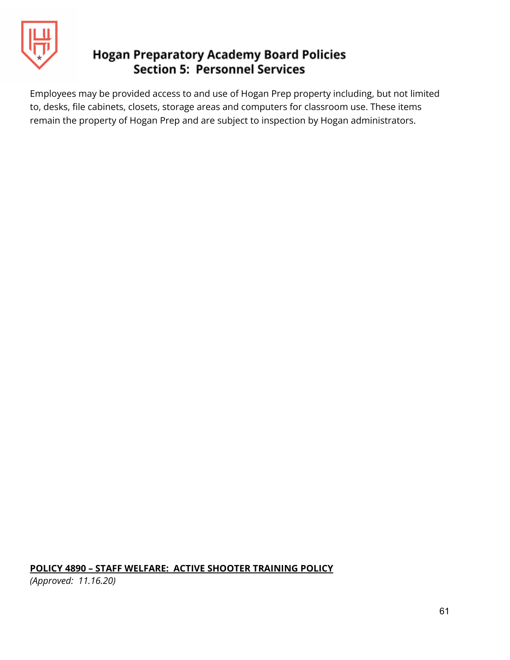

Employees may be provided access to and use of Hogan Prep property including, but not limited to, desks, file cabinets, closets, storage areas and computers for classroom use. These items remain the property of Hogan Prep and are subject to inspection by Hogan administrators.

#### **POLICY 4890 – STAFF WELFARE: ACTIVE SHOOTER TRAINING POLICY**

*(Approved: 11.16.20)*